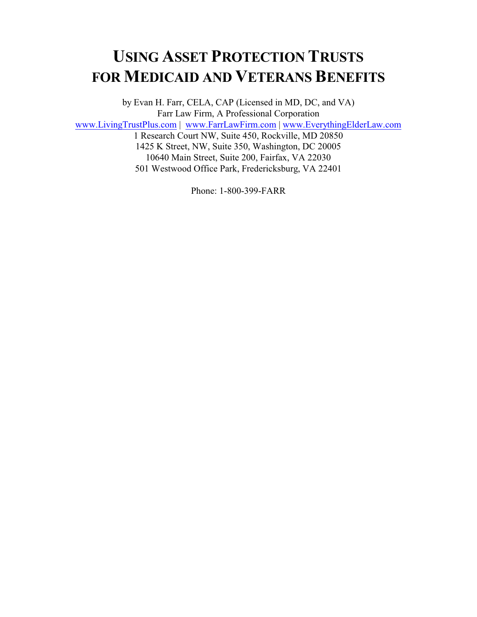# **USING ASSET PROTECTION TRUSTS FOR MEDICAID AND VETERANS BENEFITS**

by Evan H. Farr, CELA, CAP (Licensed in MD, DC, and VA) Farr Law Firm, A Professional Corporation [www.LivingTrustPlus.com](http://www.LivingTrustPlus.com) | [www.FarrLawFirm.com](http://www.FarrLawFirm.com) | [www.EverythingElderLaw.com](http://www.EverythingElderLaw.com) 1 Research Court NW, Suite 450, Rockville, MD 20850 1425 K Street, NW, Suite 350, Washington, DC 20005 10640 Main Street, Suite 200, Fairfax, VA 22030 501 Westwood Office Park, Fredericksburg, VA 22401

Phone: 1-800-399-FARR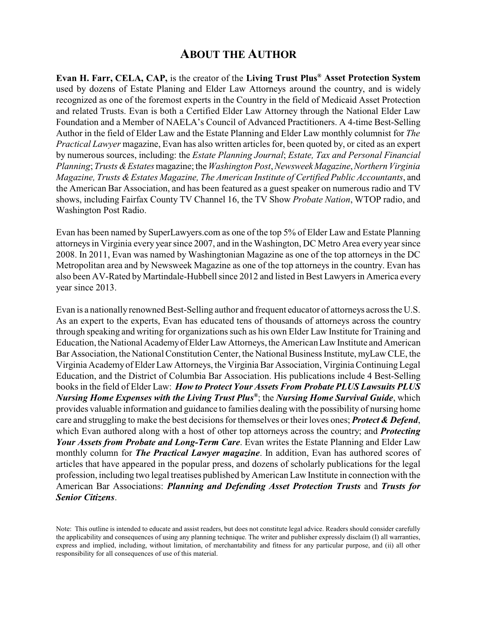# **ABOUT THE AUTHOR**

**Evan H. Farr, CELA, CAP,** is the creator of the **Living Trust Plus® Asset Protection System** used by dozens of Estate Planing and Elder Law Attorneys around the country, and is widely recognized as one of the foremost experts in the Country in the field of Medicaid Asset Protection and related Trusts. Evan is both a Certified Elder Law Attorney through the National Elder Law Foundation and a Member of NAELA's Council of Advanced Practitioners. A 4-time Best-Selling Author in the field of Elder Law and the Estate Planning and Elder Law monthly columnist for *The Practical Lawyer* magazine, Evan has also written articles for, been quoted by, or cited as an expert by numerous sources, including: the *Estate Planning Journal*; *Estate, Tax and Personal Financial Planning*; *Trusts &Estates* magazine; the *Washington Post*, *NewsweekMagazine*,*Northern Virginia Magazine, Trusts &Estates Magazine, The American Institute of Certified Public Accountants*, and the American Bar Association, and has been featured as a guest speaker on numerous radio and TV shows, including Fairfax County TV Channel 16, the TV Show *Probate Nation*, WTOP radio, and Washington Post Radio.

Evan has been named by SuperLawyers.com as one of the top 5% of Elder Law and Estate Planning attorneys in Virginia every year since 2007, and in the Washington, DC Metro Area every year since 2008. In 2011, Evan was named by Washingtonian Magazine as one of the top attorneys in the DC Metropolitan area and by Newsweek Magazine as one of the top attorneys in the country. Evan has also been AV-Rated by Martindale-Hubbell since 2012 and listed in Best Lawyers in America every year since 2013.

Evan is a nationally renowned Best-Selling author and frequent educator of attorneys across the U.S. As an expert to the experts, Evan has educated tens of thousands of attorneys across the country through speaking and writing for organizations such as his own Elder Law Institute for Training and Education, the National AcademyofElder Law Attorneys, the American Law Institute and American Bar Association, the National Constitution Center, the National Business Institute, myLaw CLE, the Virginia Academyof Elder Law Attorneys, the Virginia Bar Association, Virginia Continuing Legal Education, and the District of Columbia Bar Association. His publications include 4 Best-Selling books in the field of Elder Law: *How to Protect Your Assets From Probate PLUS Lawsuits PLUS Nursing Home Expenses with the Living Trust Plus®* ; the *Nursing Home Survival Guide*, which provides valuable information and guidance to families dealing with the possibility of nursing home care and struggling to make the best decisions for themselves or their loves ones; *Protect & Defend*, which Evan authored along with a host of other top attorneys across the country; and *Protecting Your Assets from Probate and Long-Term Care*. Evan writes the Estate Planning and Elder Law monthly column for *The Practical Lawyer magazine*. In addition, Evan has authored scores of articles that have appeared in the popular press, and dozens of scholarly publications for the legal profession, including two legal treatises published byAmerican Law Institute in connection with the American Bar Associations: *Planning and Defending Asset Protection Trusts* and *Trusts for Senior Citizens*.

Note: This outline is intended to educate and assist readers, but does not constitute legal advice. Readers should consider carefully the applicability and consequences of using any planning technique. The writer and publisher expressly disclaim (I) all warranties, express and implied, including, without limitation, of merchantability and fitness for any particular purpose, and (ii) all other responsibility for all consequences of use of this material.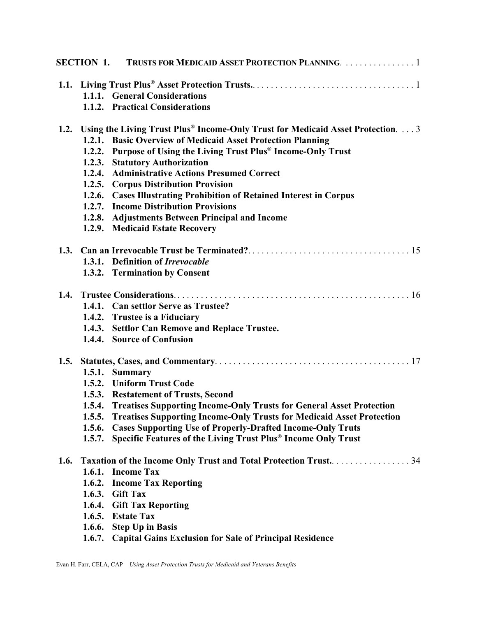|      |                                                                | SECTION 1. TRUSTS FOR MEDICAID ASSET PROTECTION PLANNING. 1                           |  |  |
|------|----------------------------------------------------------------|---------------------------------------------------------------------------------------|--|--|
|      |                                                                |                                                                                       |  |  |
|      |                                                                | 1.1.1. General Considerations                                                         |  |  |
|      |                                                                | 1.1.2. Practical Considerations                                                       |  |  |
|      |                                                                | 1.2. Using the Living Trust Plus® Income-Only Trust for Medicaid Asset Protection.  3 |  |  |
|      |                                                                | 1.2.1. Basic Overview of Medicaid Asset Protection Planning                           |  |  |
|      | 1.2.2.                                                         | Purpose of Using the Living Trust Plus® Income-Only Trust                             |  |  |
|      |                                                                | 1.2.3. Statutory Authorization                                                        |  |  |
|      |                                                                | 1.2.4. Administrative Actions Presumed Correct                                        |  |  |
|      |                                                                | 1.2.5. Corpus Distribution Provision                                                  |  |  |
|      |                                                                | 1.2.6. Cases Illustrating Prohibition of Retained Interest in Corpus                  |  |  |
|      |                                                                | 1.2.7. Income Distribution Provisions                                                 |  |  |
|      |                                                                | 1.2.8. Adjustments Between Principal and Income                                       |  |  |
|      |                                                                | 1.2.9. Medicaid Estate Recovery                                                       |  |  |
|      |                                                                |                                                                                       |  |  |
|      |                                                                | 1.3.1. Definition of Irrevocable                                                      |  |  |
|      |                                                                | 1.3.2. Termination by Consent                                                         |  |  |
|      |                                                                |                                                                                       |  |  |
|      |                                                                | 1.4.1. Can settlor Serve as Trustee?                                                  |  |  |
|      |                                                                | 1.4.2. Trustee is a Fiduciary                                                         |  |  |
|      |                                                                | 1.4.3. Settlor Can Remove and Replace Trustee.                                        |  |  |
|      |                                                                | 1.4.4. Source of Confusion                                                            |  |  |
|      |                                                                |                                                                                       |  |  |
|      |                                                                | 1.5.1. Summary                                                                        |  |  |
|      |                                                                | 1.5.2. Uniform Trust Code                                                             |  |  |
|      |                                                                | 1.5.3. Restatement of Trusts, Second                                                  |  |  |
|      |                                                                | 1.5.4. Treatises Supporting Income-Only Trusts for General Asset Protection           |  |  |
|      | 1.5.5.                                                         | <b>Treatises Supporting Income-Only Trusts for Medicaid Asset Protection</b>          |  |  |
|      | 1.5.6.                                                         | <b>Cases Supporting Use of Properly-Drafted Income-Only Truts</b>                     |  |  |
|      | 1.5.7.                                                         | Specific Features of the Living Trust Plus® Income Only Trust                         |  |  |
| 1.6. | Taxation of the Income Only Trust and Total Protection Trust34 |                                                                                       |  |  |
|      |                                                                | 1.6.1. Income Tax                                                                     |  |  |
|      | 1.6.2.                                                         | <b>Income Tax Reporting</b>                                                           |  |  |
|      | 1.6.3.                                                         | <b>Gift Tax</b>                                                                       |  |  |
|      | 1.6.4.                                                         | <b>Gift Tax Reporting</b>                                                             |  |  |
|      |                                                                | 1.6.5. Estate Tax                                                                     |  |  |
|      | 1.6.6.                                                         | <b>Step Up in Basis</b>                                                               |  |  |
|      | 1.6.7.                                                         | <b>Capital Gains Exclusion for Sale of Principal Residence</b>                        |  |  |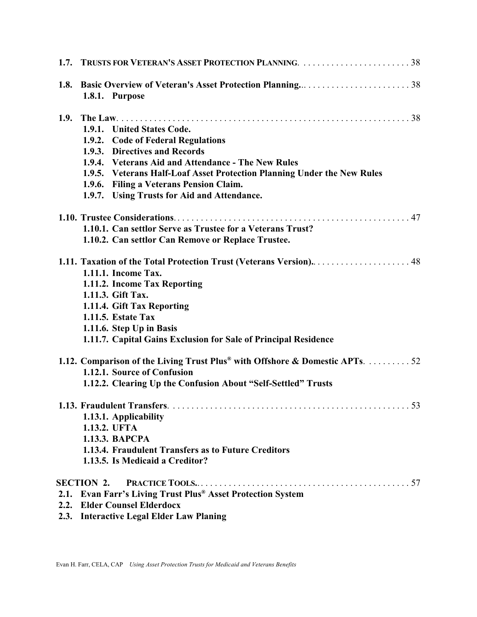| 1.7. TRUSTS FOR VETERAN'S ASSET PROTECTION PLANNING. 38                      |  |  |  |
|------------------------------------------------------------------------------|--|--|--|
| 1.8.1. Purpose                                                               |  |  |  |
| 1.9.1. United States Code.<br>1.9.2. Code of Federal Regulations             |  |  |  |
| 1.9.3. Directives and Records                                                |  |  |  |
| 1.9.4. Veterans Aid and Attendance - The New Rules                           |  |  |  |
| 1.9.5. Veterans Half-Loaf Asset Protection Planning Under the New Rules      |  |  |  |
| 1.9.6. Filing a Veterans Pension Claim.                                      |  |  |  |
| 1.9.7. Using Trusts for Aid and Attendance.                                  |  |  |  |
|                                                                              |  |  |  |
| 1.10.1. Can settlor Serve as Trustee for a Veterans Trust?                   |  |  |  |
| 1.10.2. Can settlor Can Remove or Replace Trustee.                           |  |  |  |
| 1.11. Taxation of the Total Protection Trust (Veterans Version) 48           |  |  |  |
| 1.11.1. Income Tax.                                                          |  |  |  |
| 1.11.2. Income Tax Reporting                                                 |  |  |  |
| 1.11.3. Gift Tax.                                                            |  |  |  |
| 1.11.4. Gift Tax Reporting                                                   |  |  |  |
| <b>1.11.5. Estate Tax</b>                                                    |  |  |  |
| 1.11.6. Step Up in Basis                                                     |  |  |  |
| 1.11.7. Capital Gains Exclusion for Sale of Principal Residence              |  |  |  |
| 1.12. Comparison of the Living Trust Plus® with Offshore & Domestic APTs. 52 |  |  |  |
| 1.12.1. Source of Confusion                                                  |  |  |  |
| 1.12.2. Clearing Up the Confusion About "Self-Settled" Trusts                |  |  |  |
|                                                                              |  |  |  |
| 1.13.1. Applicability                                                        |  |  |  |
| 1.13.2. UFTA                                                                 |  |  |  |
| 1.13.3. ВАРСРА                                                               |  |  |  |
| 1.13.4. Fraudulent Transfers as to Future Creditors                          |  |  |  |
| 1.13.5. Is Medicaid a Creditor?                                              |  |  |  |
| <b>SECTION 2.</b>                                                            |  |  |  |
| 2.1. Evan Farr's Living Trust Plus® Asset Protection System                  |  |  |  |
| 2.2. Elder Counsel Elderdocx                                                 |  |  |  |
| 2.2. Interceptive Legal Elden Law Blaning                                    |  |  |  |

 **2.3. Interactive Legal Elder Law Planing**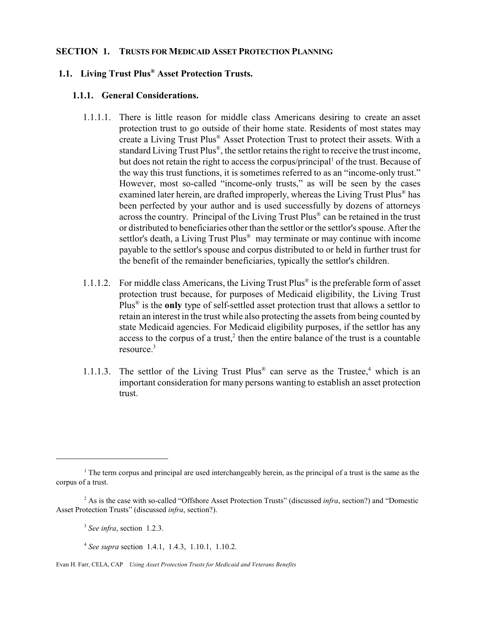#### **SECTION 1. TRUSTS FOR MEDICAID ASSET PROTECTION PLANNING**

# **1.1. Living Trust Plus® Asset Protection Trusts.**

#### **1.1.1. General Considerations.**

- 1.1.1.1. There is little reason for middle class Americans desiring to create an asset protection trust to go outside of their home state. Residents of most states may create a Living Trust Plus® Asset Protection Trust to protect their assets. With a standard Living Trust Plus®, the settlor retains the right to receive the trust income, but does not retain the right to access the corpus/principal<sup>1</sup> of the trust. Because of the way this trust functions, it is sometimes referred to as an "income-only trust." However, most so-called "income-only trusts," as will be seen by the cases examined later herein, are drafted improperly, whereas the Living Trust Plus® has been perfected by your author and is used successfully by dozens of attorneys across the country. Principal of the Living Trust Plus® can be retained in the trust or distributed to beneficiaries other than the settlor or the settlor's spouse. After the settlor's death, a Living Trust Plus® may terminate or may continue with income payable to the settlor's spouse and corpus distributed to or held in further trust for the benefit of the remainder beneficiaries, typically the settlor's children.
- 1.1.1.2. For middle class Americans, the Living Trust Plus® is the preferable form of asset protection trust because, for purposes of Medicaid eligibility, the Living Trust Plus® is the **only** type of self-settled asset protection trust that allows a settlor to retain an interest in the trust while also protecting the assets from being counted by state Medicaid agencies. For Medicaid eligibility purposes, if the settlor has any access to the corpus of a trust, $2$  then the entire balance of the trust is a countable resource.<sup>3</sup>
- 1.1.1.3. The settlor of the Living Trust Plus<sup>®</sup> can serve as the Trustee,<sup>4</sup> which is an important consideration for many persons wanting to establish an asset protection trust.

<sup>&</sup>lt;sup>1</sup> The term corpus and principal are used interchangeably herein, as the principal of a trust is the same as the corpus of a trust.

<sup>2</sup> As is the case with so-called "Offshore Asset Protection Trusts" (discussed *infra*, section?) and "Domestic Asset Protection Trusts" (discussed *infra*, section?).

<sup>3</sup>  *See infra*, section 1.2.3.

<sup>4</sup> *See supra* section 1.4.1, 1.4.3, 1.10.1, 1.10.2.

Evan H. Farr, CELA, CAP *Using Asset Protection Trusts for Medicaid and Veterans Benefits*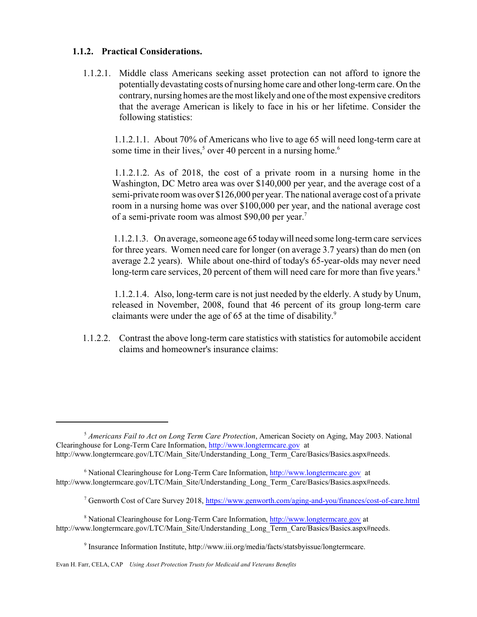#### **1.1.2. Practical Considerations.**

 1.1.2.1. Middle class Americans seeking asset protection can not afford to ignore the potentially devastating costs of nursing home care and other long-term care. On the contrary, nursing homes are the most likely and one of the most expensive creditors that the average American is likely to face in his or her lifetime. Consider the following statistics:

1.1.2.1.1. About 70% of Americans who live to age 65 will need long-term care at some time in their lives, $5$  over 40 percent in a nursing home.<sup>6</sup>

 1.1.2.1.2. As of 2018, the cost of a private room in a nursing home in the Washington, DC Metro area was over \$140,000 per year, and the average cost of a semi-private room was over \$126,000 per year. The national average cost of a private room in a nursing home was over \$100,000 per year, and the national average cost of a semi-private room was almost \$90,00 per year.<sup>7</sup>

1.1.2.1.3. On average, someone age 65 todaywill need some long-term care services for three years. Women need care for longer (on average 3.7 years) than do men (on average 2.2 years). While about one-third of today's 65-year-olds may never need long-term care services, 20 percent of them will need care for more than five years.<sup>8</sup>

1.1.2.1.4. Also, long-term care is not just needed by the elderly. A study by Unum, released in November, 2008, found that 46 percent of its group long-term care claimants were under the age of 65 at the time of disability.<sup>9</sup>

1.1.2.2. Contrast the above long-term care statistics with statistics for automobile accident claims and homeowner's insurance claims:

<sup>5</sup> *Americans Fail to Act on Long Term Care Protection*, American Society on Aging, May 2003. National Clearinghouse for Long-Term Care Information, <http://www.longtermcare.gov> at http://www.longtermcare.gov/LTC/Main\_Site/Understanding\_Long\_Term\_Care/Basics/Basics.aspx#needs.

<sup>&</sup>lt;sup>6</sup> National Clearinghouse for Long-Term Care Information,<http://www.longtermcare.gov> at http://www.longtermcare.gov/LTC/Main\_Site/Understanding\_Long\_Term\_Care/Basics/Basics.aspx#needs.

<sup>&</sup>lt;sup>7</sup> Genworth Cost of Care Survey 2018, <https://www.genworth.com/aging-and-you/finances/cost-of-care.html>

<sup>&</sup>lt;sup>8</sup> National Clearinghouse for Long-Term Care Information,<http://www.longtermcare.gov> at http://www.longtermcare.gov/LTC/Main\_Site/Understanding\_Long\_Term\_Care/Basics/Basics.aspx#needs.

<sup>&</sup>lt;sup>9</sup> Insurance Information Institute, http://www.iii.org/media/facts/statsbyissue/longtermcare.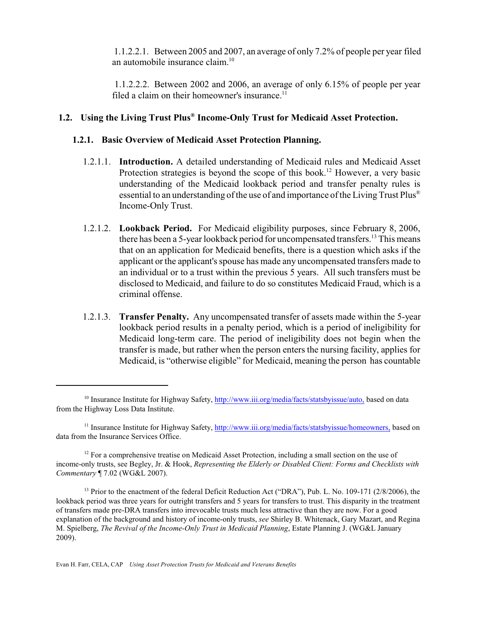1.1.2.2.1. Between 2005 and 2007, an average of only 7.2% of people per year filed an automobile insurance claim.<sup>10</sup>

 1.1.2.2.2. Between 2002 and 2006, an average of only 6.15% of people per year filed a claim on their homeowner's insurance.<sup>11</sup>

# **1.2. Using the Living Trust Plus® Income-Only Trust for Medicaid Asset Protection.**

#### **1.2.1. Basic Overview of Medicaid Asset Protection Planning.**

- 1.2.1.1. **Introduction.** A detailed understanding of Medicaid rules and Medicaid Asset Protection strategies is beyond the scope of this book.<sup>12</sup> However, a very basic understanding of the Medicaid lookback period and transfer penalty rules is essential to an understanding of the use of and importance of the Living Trust Plus® Income-Only Trust.
- 1.2.1.2. **Lookback Period.** For Medicaid eligibility purposes, since February 8, 2006, there has been a 5-year lookback period for uncompensated transfers.<sup>13</sup> This means that on an application for Medicaid benefits, there is a question which asks if the applicant or the applicant's spouse has made any uncompensated transfers made to an individual or to a trust within the previous 5 years. All such transfers must be disclosed to Medicaid, and failure to do so constitutes Medicaid Fraud, which is a criminal offense.
- 1.2.1.3. **Transfer Penalty.** Any uncompensated transfer of assets made within the 5-year lookback period results in a penalty period, which is a period of ineligibility for Medicaid long-term care. The period of ineligibility does not begin when the transfer is made, but rather when the person enters the nursing facility, applies for Medicaid, is "otherwise eligible" for Medicaid, meaning the person has countable

<sup>&</sup>lt;sup>10</sup> Insurance Institute for Highway Safety,<http://www.iii.org/media/facts/statsbyissue/auto,> based on data from the Highway Loss Data Institute.

<sup>&</sup>lt;sup>11</sup> Insurance Institute for Highway Safety,<http://www.iii.org/media/facts/statsbyissue/homeowners,> based on data from the Insurance Services Office.

 $12$  For a comprehensive treatise on Medicaid Asset Protection, including a small section on the use of income-only trusts, see Begley, Jr. & Hook, *Representing the Elderly or Disabled Client: Forms and Checklists with Commentary* ¶ 7.02 (WG&L 2007).

<sup>&</sup>lt;sup>13</sup> Prior to the enactment of the federal Deficit Reduction Act ("DRA"), Pub. L. No. 109-171 (2/8/2006), the lookback period was three years for outright transfers and 5 years for transfers to trust. This disparity in the treatment of transfers made pre-DRA transfers into irrevocable trusts much less attractive than they are now. For a good explanation of the background and history of income-only trusts, *see* Shirley B. Whitenack, Gary Mazart, and Regina M. Spielberg, *The Revival of the Income-Only Trust in Medicaid Planning*, Estate Planning J. (WG&L January 2009).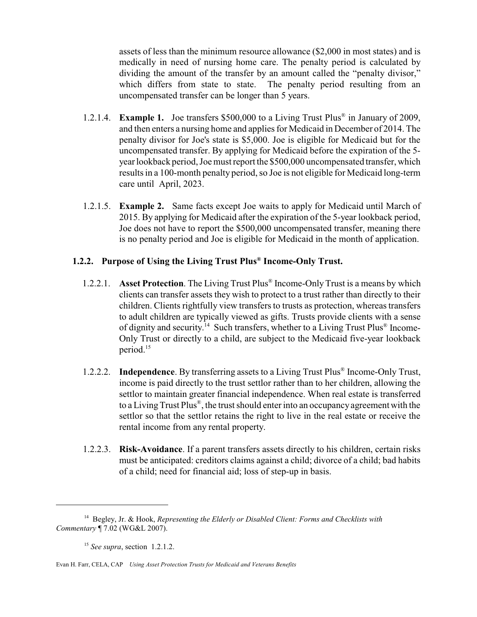assets of less than the minimum resource allowance (\$2,000 in most states) and is medically in need of nursing home care. The penalty period is calculated by dividing the amount of the transfer by an amount called the "penalty divisor," which differs from state to state. The penalty period resulting from an uncompensated transfer can be longer than 5 years.

- 1.2.1.4. **Example 1.** Joe transfers \$500,000 to a Living Trust Plus ® in January of 2009, and then enters a nursing home and applies for Medicaid in December of 2014. The penalty divisor for Joe's state is \$5,000. Joe is eligible for Medicaid but for the uncompensated transfer. By applying for Medicaid before the expiration of the 5 year lookback period, Joe must report the \$500,000 uncompensated transfer, which results in a 100-month penalty period, so Joe is not eligible for Medicaid long-term care until April, 2023.
- 1.2.1.5. **Example 2.** Same facts except Joe waits to apply for Medicaid until March of 2015. By applying for Medicaid after the expiration of the 5-year lookback period, Joe does not have to report the \$500,000 uncompensated transfer, meaning there is no penalty period and Joe is eligible for Medicaid in the month of application.

# **1.2.2. Purpose of Using the Living Trust Plus® Income-Only Trust.**

- 1.2.2.1. **Asset Protection**. The Living Trust Plus® Income-OnlyTrust is a means by which clients can transfer assets they wish to protect to a trust rather than directly to their children. Clients rightfully view transfers to trusts as protection, whereas transfers to adult children are typically viewed as gifts. Trusts provide clients with a sense of dignity and security.<sup>14</sup> Such transfers, whether to a Living Trust Plus® Income-Only Trust or directly to a child, are subject to the Medicaid five-year lookback period.<sup>15</sup>
- 1.2.2.2. **Independence**. By transferring assets to a Living Trust Plus® Income-Only Trust, income is paid directly to the trust settlor rather than to her children, allowing the settlor to maintain greater financial independence. When real estate is transferred to a Living Trust Plus®, the trust should enter into an occupancy agreement with the settlor so that the settlor retains the right to live in the real estate or receive the rental income from any rental property.
- 1.2.2.3. **Risk-Avoidance**. If a parent transfers assets directly to his children, certain risks must be anticipated: creditors claims against a child; divorce of a child; bad habits of a child; need for financial aid; loss of step-up in basis.

Evan H. Farr, CELA, CAP *Using Asset Protection Trusts for Medicaid and Veterans Benefits*

<sup>14</sup> Begley, Jr. & Hook, *Representing the Elderly or Disabled Client: Forms and Checklists with Commentary* ¶ 7.02 (WG&L 2007).

<sup>15</sup> *See supra*, section 1.2.1.2.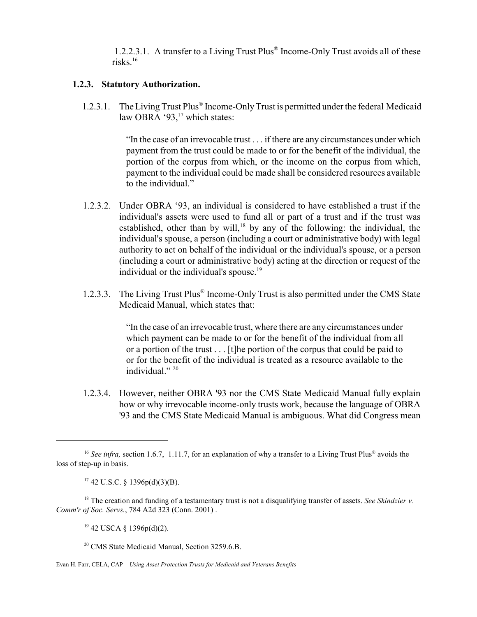1.2.2.3.1. A transfer to a Living Trust Plus® Income-Only Trust avoids all of these risks. $16$ 

#### **1.2.3. Statutory Authorization.**

1.2.3.1. The Living Trust Plus® Income-Only Trust is permitted under the federal Medicaid law OBRA '93, $17$  which states:

> "In the case of an irrevocable trust . . . if there are any circumstances under which payment from the trust could be made to or for the benefit of the individual, the portion of the corpus from which, or the income on the corpus from which, payment to the individual could be made shall be considered resources available to the individual."

- 1.2.3.2. Under OBRA '93, an individual is considered to have established a trust if the individual's assets were used to fund all or part of a trust and if the trust was established, other than by will,<sup>18</sup> by any of the following: the individual, the individual's spouse, a person (including a court or administrative body) with legal authority to act on behalf of the individual or the individual's spouse, or a person (including a court or administrative body) acting at the direction or request of the individual or the individual's spouse.<sup>19</sup>
- 1.2.3.3. The Living Trust Plus® Income-Only Trust is also permitted under the CMS State Medicaid Manual, which states that:

"In the case of an irrevocable trust, where there are any circumstances under which payment can be made to or for the benefit of the individual from all or a portion of the trust . . . [t]he portion of the corpus that could be paid to or for the benefit of the individual is treated as a resource available to the individual."<sup>20</sup>

 1.2.3.4. However, neither OBRA '93 nor the CMS State Medicaid Manual fully explain how or why irrevocable income-only trusts work, because the language of OBRA '93 and the CMS State Medicaid Manual is ambiguous. What did Congress mean

 $19$  42 USCA  $\S$  1396p(d)(2).

Evan H. Farr, CELA, CAP *Using Asset Protection Trusts for Medicaid and Veterans Benefits*

<sup>&</sup>lt;sup>16</sup> See infra, section 1.6.7, 1.11.7, for an explanation of why a transfer to a Living Trust Plus<sup>®</sup> avoids the loss of step-up in basis.

 $17$  42 U.S.C. § 1396p(d)(3)(B).

<sup>18</sup> The creation and funding of a testamentary trust is not a disqualifying transfer of assets. *See Skindzier v. Comm'r of Soc. Servs.*, 784 A2d 323 (Conn. 2001) .

<sup>&</sup>lt;sup>20</sup> CMS State Medicaid Manual, Section 3259.6.B.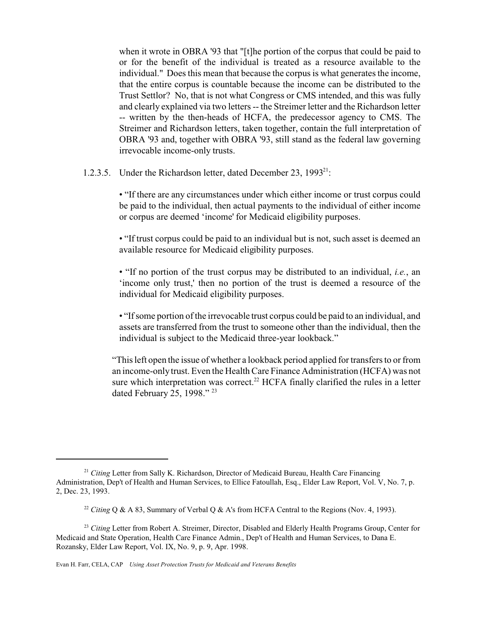when it wrote in OBRA '93 that "[t]he portion of the corpus that could be paid to or for the benefit of the individual is treated as a resource available to the individual." Does this mean that because the corpus is what generates the income, that the entire corpus is countable because the income can be distributed to the Trust Settlor? No, that is not what Congress or CMS intended, and this was fully and clearly explained via two letters -- the Streimer letter and the Richardson letter -- written by the then-heads of HCFA, the predecessor agency to CMS. The Streimer and Richardson letters, taken together, contain the full interpretation of OBRA '93 and, together with OBRA '93, still stand as the federal law governing irrevocable income-only trusts.

1.2.3.5. Under the Richardson letter, dated December 23, 1993<sup>21</sup>:

• "If there are any circumstances under which either income or trust corpus could be paid to the individual, then actual payments to the individual of either income or corpus are deemed 'income' for Medicaid eligibility purposes.

• "If trust corpus could be paid to an individual but is not, such asset is deemed an available resource for Medicaid eligibility purposes.

• "If no portion of the trust corpus may be distributed to an individual, *i.e.*, an 'income only trust,' then no portion of the trust is deemed a resource of the individual for Medicaid eligibility purposes.

• "Ifsome portion of the irrevocable trust corpus could be paid to an individual, and assets are transferred from the trust to someone other than the individual, then the individual is subject to the Medicaid three-year lookback."

"This left open the issue of whether a lookback period applied for transfers to or from an income-only trust. Even the Health Care Finance Administration (HCFA) was not sure which interpretation was correct.<sup>22</sup> HCFA finally clarified the rules in a letter dated February 25, 1998." <sup>23</sup>

<sup>21</sup> *Citing* Letter from Sally K. Richardson, Director of Medicaid Bureau, Health Care Financing Administration, Dep't of Health and Human Services, to Ellice Fatoullah, Esq., Elder Law Report, Vol. V, No. 7, p. 2, Dec. 23, 1993.

<sup>&</sup>lt;sup>22</sup> *Citing* Q & A 83, Summary of Verbal Q & A's from HCFA Central to the Regions (Nov. 4, 1993).

<sup>&</sup>lt;sup>23</sup> *Citing* Letter from Robert A. Streimer, Director, Disabled and Elderly Health Programs Group, Center for Medicaid and State Operation, Health Care Finance Admin., Dep't of Health and Human Services, to Dana E. Rozansky, Elder Law Report, Vol. IX, No. 9, p. 9, Apr. 1998.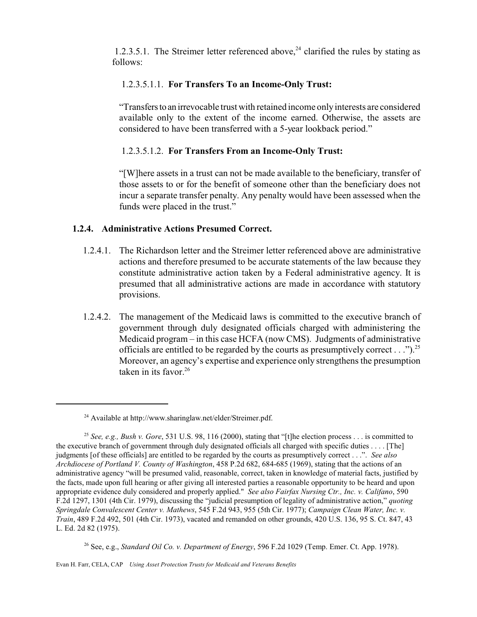1.2.3.5.1. The Streimer letter referenced above, $24$  clarified the rules by stating as follows:

#### 1.2.3.5.1.1. **For Transfers To an Income-Only Trust:**

"Transfersto an irrevocable trust with retained income onlyinterests are considered available only to the extent of the income earned. Otherwise, the assets are considered to have been transferred with a 5-year lookback period."

#### 1.2.3.5.1.2. **For Transfers From an Income-Only Trust:**

"[W]here assets in a trust can not be made available to the beneficiary, transfer of those assets to or for the benefit of someone other than the beneficiary does not incur a separate transfer penalty. Any penalty would have been assessed when the funds were placed in the trust."

#### **1.2.4. Administrative Actions Presumed Correct.**

- 1.2.4.1. The Richardson letter and the Streimer letter referenced above are administrative actions and therefore presumed to be accurate statements of the law because they constitute administrative action taken by a Federal administrative agency. It is presumed that all administrative actions are made in accordance with statutory provisions.
- 1.2.4.2. The management of the Medicaid laws is committed to the executive branch of government through duly designated officials charged with administering the Medicaid program – in this case HCFA (now CMS). Judgments of administrative officials are entitled to be regarded by the courts as presumptively correct  $\ldots$ ").<sup>25</sup> Moreover, an agency's expertise and experience only strengthens the presumption taken in its favor. $26$

<sup>26</sup> See, e.g., *Standard Oil Co. v. Department of Energy*, 596 F.2d 1029 (Temp. Emer. Ct. App. 1978).

Evan H. Farr, CELA, CAP *Using Asset Protection Trusts for Medicaid and Veterans Benefits*

<sup>&</sup>lt;sup>24</sup> Available at http://www.sharinglaw.net/elder/Streimer.pdf.

<sup>25</sup> *See, e.g., Bush v. Gore*, 531 U.S. 98, 116 (2000), stating that "[t]he election process . . . is committed to the executive branch of government through duly designated officials all charged with specific duties . . . . [The] judgments [of these officials] are entitled to be regarded by the courts as presumptively correct . . .". *See also Archdiocese of Portland V. County of Washington*, 458 P.2d 682, 684-685 (1969), stating that the actions of an administrative agency "will be presumed valid, reasonable, correct, taken in knowledge of material facts, justified by the facts, made upon full hearing or after giving all interested parties a reasonable opportunity to be heard and upon appropriate evidence duly considered and properly applied." *See also Fairfax Nursing Ctr., Inc. v. Califano*, 590 F.2d 1297, 1301 (4th Cir. 1979), discussing the "judicial presumption of legality of administrative action," *quoting Springdale Convalescent Center v. Mathews*, 545 F.2d 943, 955 (5th Cir. 1977); *Campaign Clean Water, Inc. v. Train*, 489 F.2d 492, 501 (4th Cir. 1973), vacated and remanded on other grounds, 420 U.S. 136, 95 S. Ct. 847, 43 L. Ed. 2d 82 (1975).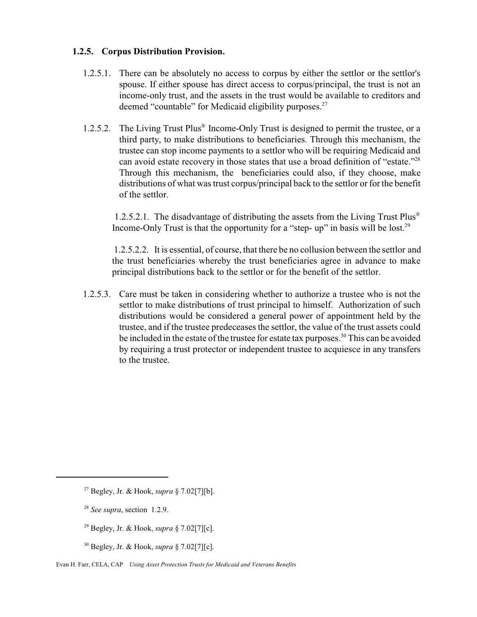#### **1.2.5. Corpus Distribution Provision.**

- 1.2.5.1. There can be absolutely no access to corpus by either the settlor or the settlor's spouse. If either spouse has direct access to corpus/principal, the trust is not an income-only trust, and the assets in the trust would be available to creditors and deemed "countable" for Medicaid eligibility purposes.<sup>27</sup>
- 1.2.5.2. The Living Trust Plus<sup>®</sup> Income-Only Trust is designed to permit the trustee, or a third party, to make distributions to beneficiaries. Through this mechanism, the trustee can stop income payments to a settlor who will be requiring Medicaid and can avoid estate recovery in those states that use a broad definition of "estate."<sup>28</sup> Through this mechanism, the beneficiaries could also, if they choose, make distributions of what was trust corpus/principal back to the settlor or for the benefit of the settlor.

 1.2.5.2.1. The disadvantage of distributing the assets from the Living Trust Plus® Income-Only Trust is that the opportunity for a "step- up" in basis will be lost.<sup>29</sup>

1.2.5.2.2. It is essential, of course, that there be no collusion between the settlor and the trust beneficiaries whereby the trust beneficiaries agree in advance to make principal distributions back to the settlor or for the benefit of the settlor.

 1.2.5.3. Care must be taken in considering whether to authorize a trustee who is not the settlor to make distributions of trust principal to himself. Authorization of such distributions would be considered a general power of appointment held by the trustee, and if the trustee predeceases the settlor, the value of the trust assets could be included in the estate of the trustee for estate tax purposes.<sup>30</sup> This can be avoided by requiring a trust protector or independent trustee to acquiesce in any transfers to the trustee.

- <sup>29</sup> Begley, Jr. & Hook, *supra* § 7.02[7][c].
- <sup>30</sup> Begley, Jr. & Hook, *supra* § 7.02[7][c].

<sup>27</sup> Begley, Jr. & Hook, *supra* § 7.02[7][b].

<sup>28</sup> *See supra*, section 1.2.9.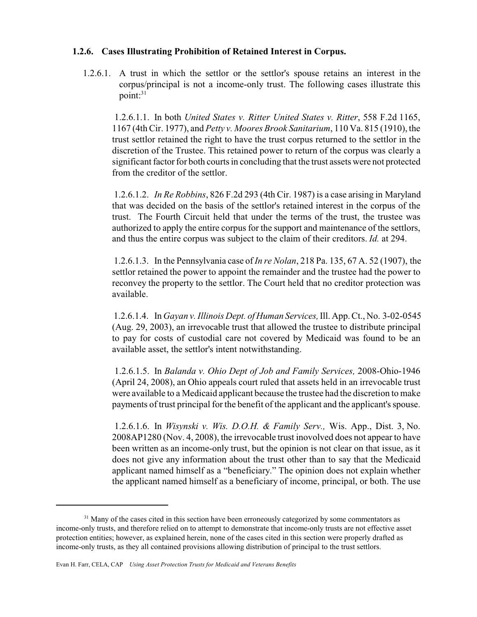#### **1.2.6. Cases Illustrating Prohibition of Retained Interest in Corpus.**

 1.2.6.1. A trust in which the settlor or the settlor's spouse retains an interest in the corpus/principal is not a income-only trust. The following cases illustrate this point: $31$ 

 1.2.6.1.1. In both *United States v. Ritter United States v. Ritter*, 558 F.2d 1165, 1167 (4th Cir. 1977), and *Petty v. Moores Brook Sanitarium*, 110 Va. 815 (1910), the trust settlor retained the right to have the trust corpus returned to the settlor in the discretion of the Trustee. This retained power to return of the corpus was clearly a significant factor for both courts in concluding that the trust assets were not protected from the creditor of the settlor.

1.2.6.1.2. *In Re Robbins*, 826 F.2d 293 (4th Cir. 1987) is a case arising in Maryland that was decided on the basis of the settlor's retained interest in the corpus of the trust. The Fourth Circuit held that under the terms of the trust, the trustee was authorized to apply the entire corpus for the support and maintenance of the settlors, and thus the entire corpus was subject to the claim of their creditors. *Id.* at 294.

1.2.6.1.3. In the Pennsylvania case of *In re Nolan*, 218 Pa. 135, 67 A. 52 (1907), the settlor retained the power to appoint the remainder and the trustee had the power to reconvey the property to the settlor. The Court held that no creditor protection was available.

1.2.6.1.4. In *Gayan v. Illinois Dept. of Human Services,*Ill. App. Ct., No. 3-02-0545 (Aug. 29, 2003), an irrevocable trust that allowed the trustee to distribute principal to pay for costs of custodial care not covered by Medicaid was found to be an available asset, the settlor's intent notwithstanding.

 1.2.6.1.5. In *Balanda v. Ohio Dept of Job and Family Services,* 2008-Ohio-1946 (April 24, 2008), an Ohio appeals court ruled that assets held in an irrevocable trust were available to a Medicaid applicant because the trustee had the discretion to make payments of trust principal for the benefit of the applicant and the applicant's spouse.

 1.2.6.1.6. In *Wisynski v. Wis. D.O.H. & Family Serv.,* Wis. App., Dist. 3, No. 2008AP1280 (Nov. 4, 2008), the irrevocable trust inovolved does not appear to have been written as an income-only trust, but the opinion is not clear on that issue, as it does not give any information about the trust other than to say that the Medicaid applicant named himself as a "beneficiary." The opinion does not explain whether the applicant named himself as a beneficiary of income, principal, or both. The use

<sup>&</sup>lt;sup>31</sup> Many of the cases cited in this section have been erroneously categorized by some commentators as income-only trusts, and therefore relied on to attempt to demonstrate that income-only trusts are not effective asset protection entities; however, as explained herein, none of the cases cited in this section were properly drafted as income-only trusts, as they all contained provisions allowing distribution of principal to the trust settlors.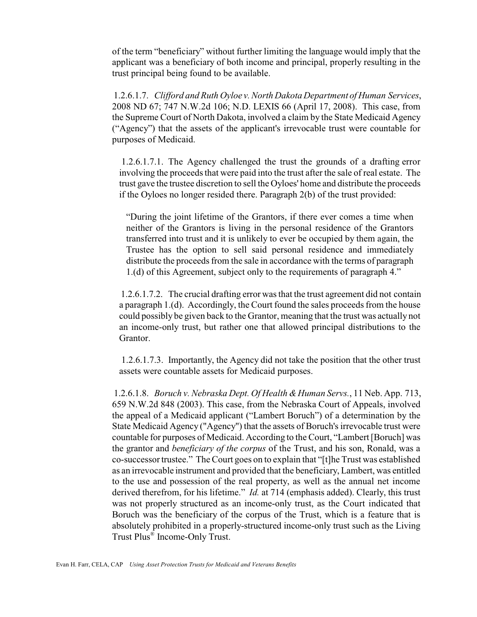of the term "beneficiary" without further limiting the language would imply that the applicant was a beneficiary of both income and principal, properly resulting in the trust principal being found to be available.

1.2.6.1.7. *Clifford and Ruth Oyloe v. North Dakota Department of Human Services*, 2008 ND 67; 747 N.W.2d 106; N.D. LEXIS 66 (April 17, 2008). This case, from the Supreme Court of North Dakota, involved a claim by the State Medicaid Agency ("Agency") that the assets of the applicant's irrevocable trust were countable for purposes of Medicaid.

 1.2.6.1.7.1. The Agency challenged the trust the grounds of a drafting error involving the proceeds that were paid into the trust after the sale of real estate. The trust gave the trustee discretion to sell the Oyloes' home and distribute the proceeds if the Oyloes no longer resided there. Paragraph 2(b) of the trust provided:

"During the joint lifetime of the Grantors, if there ever comes a time when neither of the Grantors is living in the personal residence of the Grantors transferred into trust and it is unlikely to ever be occupied by them again, the Trustee has the option to sell said personal residence and immediately distribute the proceeds from the sale in accordance with the terms of paragraph 1.(d) of this Agreement, subject only to the requirements of paragraph 4."

1.2.6.1.7.2. The crucial drafting error was that the trust agreement did not contain a paragraph 1.(d). Accordingly, the Court found the sales proceeds from the house could possibly be given back to the Grantor, meaning that the trust was actually not an income-only trust, but rather one that allowed principal distributions to the Grantor.

1.2.6.1.7.3. Importantly, the Agency did not take the position that the other trust assets were countable assets for Medicaid purposes.

1.2.6.1.8. *Boruch v. Nebraska Dept. Of Health &Human Servs.*, 11 Neb. App. 713, 659 N.W.2d 848 (2003). This case, from the Nebraska Court of Appeals, involved the appeal of a Medicaid applicant ("Lambert Boruch") of a determination by the State Medicaid Agency ("Agency") that the assets of Boruch's irrevocable trust were countable for purposes of Medicaid. According to the Court, "Lambert [Boruch] was the grantor and *beneficiary of the corpus* of the Trust, and his son, Ronald, was a co-successor trustee." The Court goes on to explain that "[t]he Trust was established as an irrevocable instrument and provided that the beneficiary, Lambert, was entitled to the use and possession of the real property, as well as the annual net income derived therefrom, for his lifetime." *Id.* at 714 (emphasis added). Clearly, this trust was not properly structured as an income-only trust, as the Court indicated that Boruch was the beneficiary of the corpus of the Trust, which is a feature that is absolutely prohibited in a properly-structured income-only trust such as the Living Trust Plus® Income-Only Trust.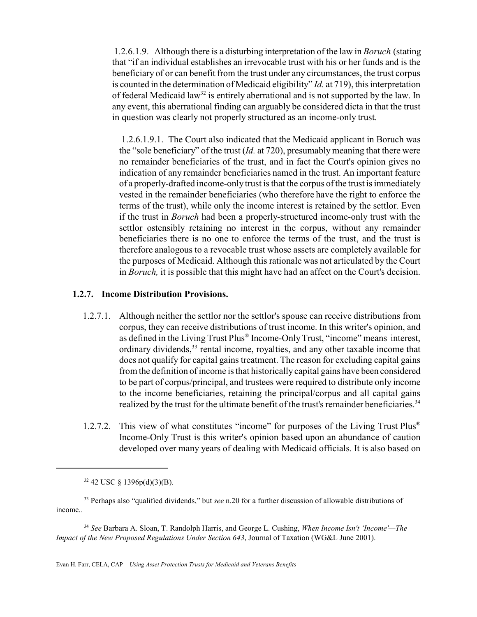1.2.6.1.9. Although there is a disturbing interpretation of the law in *Boruch* (stating that "if an individual establishes an irrevocable trust with his or her funds and is the beneficiary of or can benefit from the trust under any circumstances, the trust corpus is counted in the determination of Medicaid eligibility" *Id.* at 719), this interpretation of federal Medicaid law<sup>32</sup> is entirely aberrational and is not supported by the law. In any event, this aberrational finding can arguably be considered dicta in that the trust in question was clearly not properly structured as an income-only trust.

 1.2.6.1.9.1. The Court also indicated that the Medicaid applicant in Boruch was the "sole beneficiary" of the trust (*Id.* at 720), presumably meaning that there were no remainder beneficiaries of the trust, and in fact the Court's opinion gives no indication of any remainder beneficiaries named in the trust. An important feature of a properly-drafted income-only trust is that the corpus of the trust is immediately vested in the remainder beneficiaries (who therefore have the right to enforce the terms of the trust), while only the income interest is retained by the settlor. Even if the trust in *Boruch* had been a properly-structured income-only trust with the settlor ostensibly retaining no interest in the corpus, without any remainder beneficiaries there is no one to enforce the terms of the trust, and the trust is therefore analogous to a revocable trust whose assets are completely available for the purposes of Medicaid. Although this rationale was not articulated by the Court in *Boruch,* it is possible that this might have had an affect on the Court's decision.

#### **1.2.7. Income Distribution Provisions.**

- 1.2.7.1. Although neither the settlor nor the settlor's spouse can receive distributions from corpus, they can receive distributions of trust income. In this writer's opinion, and as defined in the Living Trust Plus® Income-Only Trust, "income" means interest, ordinary dividends,<sup>33</sup> rental income, royalties, and any other taxable income that does not qualify for capital gains treatment. The reason for excluding capital gains from the definition of income is that historically capital gains have been considered to be part of corpus/principal, and trustees were required to distribute only income to the income beneficiaries, retaining the principal/corpus and all capital gains realized by the trust for the ultimate benefit of the trust's remainder beneficiaries.<sup>34</sup>
- 1.2.7.2. This view of what constitutes "income" for purposes of the Living Trust Plus® Income-Only Trust is this writer's opinion based upon an abundance of caution developed over many years of dealing with Medicaid officials. It is also based on

 $32$  42 USC § 1396p(d)(3)(B).

<sup>33</sup> Perhaps also "qualified dividends," but *see* n.20 for a further discussion of allowable distributions of income.*.*

<sup>34</sup> *See* Barbara A. Sloan, T. Randolph Harris, and George L. Cushing, *When Income Isn't 'Income'—The Impact of the New Proposed Regulations Under Section 643*, Journal of Taxation (WG&L June 2001).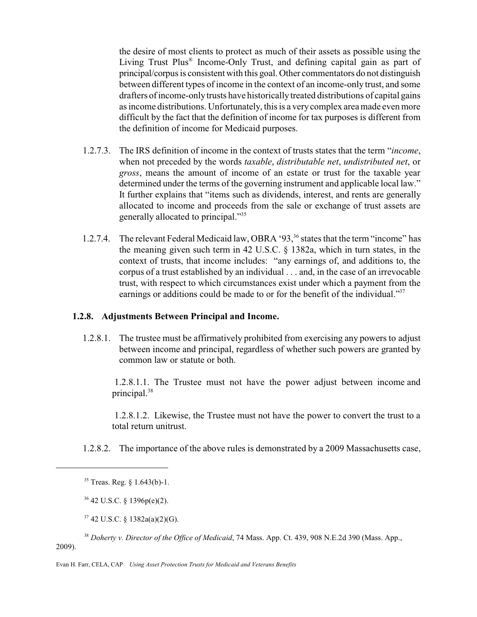the desire of most clients to protect as much of their assets as possible using the Living Trust Plus® Income-Only Trust, and defining capital gain as part of principal/corpus is consistent with this goal. Other commentators do not distinguish between different types of income in the context of an income-only trust, and some drafters of income-onlytrusts have historically treated distributions of capital gains as income distributions. Unfortunately, this is a verycomplex area made even more difficult by the fact that the definition of income for tax purposes is different from the definition of income for Medicaid purposes.

- 1.2.7.3. The IRS definition of income in the context of trusts states that the term "*income*, when not preceded by the words *taxable*, *distributable net*, *undistributed net*, or *gross*, means the amount of income of an estate or trust for the taxable year determined under the terms of the governing instrument and applicable local law." It further explains that "items such as dividends, interest, and rents are generally allocated to income and proceeds from the sale or exchange of trust assets are generally allocated to principal."<sup>35</sup>
- 1.2.7.4. The relevant Federal Medicaid law, OBRA '93,<sup>36</sup> states that the term "income" has the meaning given such term in 42 U.S.C. § 1382a, which in turn states, in the context of trusts, that income includes: "any earnings of, and additions to, the corpus of a trust established by an individual . . . and, in the case of an irrevocable trust, with respect to which circumstances exist under which a payment from the earnings or additions could be made to or for the benefit of the individual."<sup>37</sup>

#### **1.2.8. Adjustments Between Principal and Income.**

1.2.8.1. The trustee must be affirmatively prohibited from exercising any powers to adjust between income and principal, regardless of whether such powers are granted by common law or statute or both.

 1.2.8.1.1. The Trustee must not have the power adjust between income and principal.<sup>38</sup>

 1.2.8.1.2. Likewise, the Trustee must not have the power to convert the trust to a total return unitrust.

1.2.8.2. The importance of the above rules is demonstrated by a 2009 Massachusetts case,

 $36$  42 U.S.C. § 1396p(e)(2).

<sup>37</sup> 42 U.S.C. § 1382a(a)(2)(G).

<sup>38</sup> *Doherty v. Director of the Office of Medicaid*, 74 Mass. App. Ct. 439, 908 N.E.2d 390 (Mass. App., 2009).

<sup>35</sup> Treas. Reg. § 1.643(b)-1.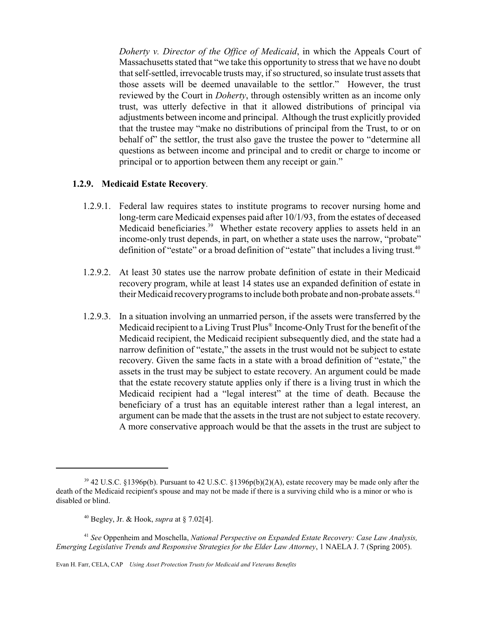*Doherty v. Director of the Office of Medicaid*, in which the Appeals Court of Massachusetts stated that "we take this opportunity to stress that we have no doubt that self-settled, irrevocable trusts may, if so structured, so insulate trust assets that those assets will be deemed unavailable to the settlor." However, the trust reviewed by the Court in *Doherty*, through ostensibly written as an income only trust, was utterly defective in that it allowed distributions of principal via adjustments between income and principal. Although the trust explicitly provided that the trustee may "make no distributions of principal from the Trust, to or on behalf of" the settlor, the trust also gave the trustee the power to "determine all questions as between income and principal and to credit or charge to income or principal or to apportion between them any receipt or gain."

#### **1.2.9. Medicaid Estate Recovery**.

- 1.2.9.1. Federal law requires states to institute programs to recover nursing home and long-term care Medicaid expenses paid after 10/1/93, from the estates of deceased Medicaid beneficiaries.<sup>39</sup> Whether estate recovery applies to assets held in an income-only trust depends, in part, on whether a state uses the narrow, "probate" definition of "estate" or a broad definition of "estate" that includes a living trust.<sup>40</sup>
- 1.2.9.2. At least 30 states use the narrow probate definition of estate in their Medicaid recovery program, while at least 14 states use an expanded definition of estate in their Medicaid recovery programs to include both probate and non-probate assets.<sup>41</sup>
- 1.2.9.3. In a situation involving an unmarried person, if the assets were transferred by the Medicaid recipient to a Living Trust Plus® Income-OnlyTrust for the benefit of the Medicaid recipient, the Medicaid recipient subsequently died, and the state had a narrow definition of "estate," the assets in the trust would not be subject to estate recovery. Given the same facts in a state with a broad definition of "estate," the assets in the trust may be subject to estate recovery. An argument could be made that the estate recovery statute applies only if there is a living trust in which the Medicaid recipient had a "legal interest" at the time of death. Because the beneficiary of a trust has an equitable interest rather than a legal interest, an argument can be made that the assets in the trust are not subject to estate recovery. A more conservative approach would be that the assets in the trust are subject to

<sup>39</sup> 42 U.S.C. §1396p(b). Pursuant to 42 U.S.C. §1396p(b)(2)(A), estate recovery may be made only after the death of the Medicaid recipient's spouse and may not be made if there is a surviving child who is a minor or who is disabled or blind.

<sup>40</sup> Begley, Jr. & Hook, *supra* at § 7.02[4].

<sup>41</sup> *See* Oppenheim and Moschella, *National Perspective on Expanded Estate Recovery: Case Law Analysis, Emerging Legislative Trends and Responsive Strategies for the Elder Law Attorney*, 1 NAELA J. 7 (Spring 2005).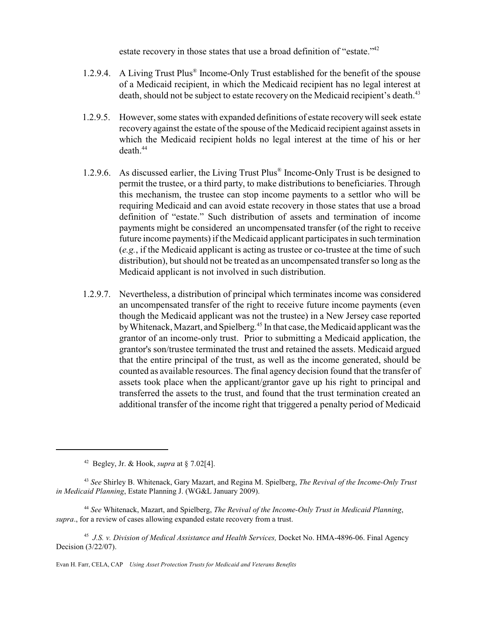estate recovery in those states that use a broad definition of "estate."<sup>42</sup>

- 1.2.9.4. A Living Trust Plus® Income-Only Trust established for the benefit of the spouse of a Medicaid recipient, in which the Medicaid recipient has no legal interest at death, should not be subject to estate recovery on the Medicaid recipient's death.<sup>43</sup>
- 1.2.9.5. However, some states with expanded definitions of estate recoverywill seek estate recovery against the estate of the spouse of the Medicaid recipient against assets in which the Medicaid recipient holds no legal interest at the time of his or her  $death<sup>44</sup>$
- 1.2.9.6. As discussed earlier, the Living Trust Plus® Income-Only Trust is be designed to permit the trustee, or a third party, to make distributions to beneficiaries. Through this mechanism, the trustee can stop income payments to a settlor who will be requiring Medicaid and can avoid estate recovery in those states that use a broad definition of "estate." Such distribution of assets and termination of income payments might be considered an uncompensated transfer (of the right to receive future income payments) if the Medicaid applicant participates in such termination (*e.g.*, if the Medicaid applicant is acting as trustee or co-trustee at the time of such distribution), but should not be treated as an uncompensated transfer so long as the Medicaid applicant is not involved in such distribution.
- 1.2.9.7. Nevertheless, a distribution of principal which terminates income was considered an uncompensated transfer of the right to receive future income payments (even though the Medicaid applicant was not the trustee) in a New Jersey case reported byWhitenack, Mazart, and Spielberg. 45 In that case, the Medicaid applicant was the grantor of an income-only trust. Prior to submitting a Medicaid application, the grantor's son/trustee terminated the trust and retained the assets. Medicaid argued that the entire principal of the trust, as well as the income generated, should be counted as available resources. The final agency decision found that the transfer of assets took place when the applicant/grantor gave up his right to principal and transferred the assets to the trust, and found that the trust termination created an additional transfer of the income right that triggered a penalty period of Medicaid

Evan H. Farr, CELA, CAP *Using Asset Protection Trusts for Medicaid and Veterans Benefits*

<sup>42</sup> Begley, Jr. & Hook, *supra* at § 7.02[4].

<sup>43</sup> *See* Shirley B. Whitenack, Gary Mazart, and Regina M. Spielberg, *The Revival of the Income-Only Trust in Medicaid Planning*, Estate Planning J. (WG&L January 2009).

<sup>44</sup> *See* Whitenack, Mazart, and Spielberg, *The Revival of the Income-Only Trust in Medicaid Planning*, *supra*., for a review of cases allowing expanded estate recovery from a trust.

<sup>45</sup> *J.S. v. Division of Medical Assistance and Health Services,* Docket No. HMA-4896-06. Final Agency Decision (3/22/07).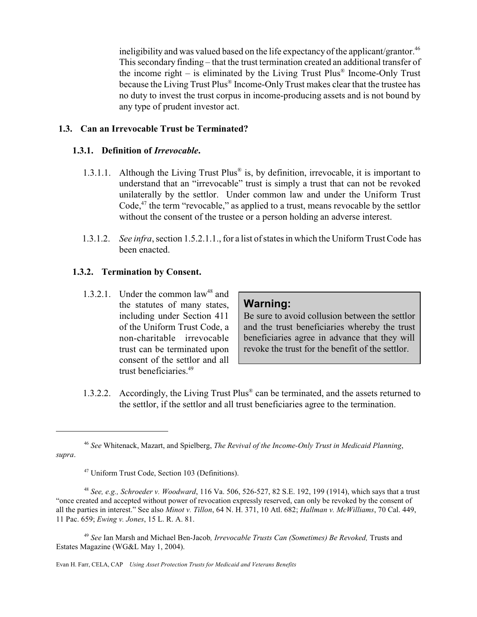ineligibility and was valued based on the life expectancy of the applicant/grantor.<sup>46</sup> This secondary finding – that the trust termination created an additional transfer of the income right – is eliminated by the Living Trust Plus® Income-Only Trust because the Living Trust Plus® Income-Only Trust makes clear that the trustee has no duty to invest the trust corpus in income-producing assets and is not bound by any type of prudent investor act.

#### **1.3. Can an Irrevocable Trust be Terminated?**

#### **1.3.1. Definition of** *Irrevocable***.**

- 1.3.1.1. Although the Living Trust Plus<sup>®</sup> is, by definition, irrevocable, it is important to understand that an "irrevocable" trust is simply a trust that can not be revoked unilaterally by the settlor. Under common law and under the Uniform Trust Code,<sup>47</sup> the term "revocable," as applied to a trust, means revocable by the settlor without the consent of the trustee or a person holding an adverse interest.
- 1.3.1.2. *See infra*, section 1.5.2.1.1., for a list of states in which the Uniform Trust Code has been enacted.

#### **1.3.2. Termination by Consent.**

1.3.2.1. Under the common  $law<sup>48</sup>$  and the statutes of many states, including under Section 411 of the Uniform Trust Code, a non-charitable irrevocable trust can be terminated upon consent of the settlor and all trust beneficiaries<sup>49</sup>

# **Warning:**

Be sure to avoid collusion between the settlor and the trust beneficiaries whereby the trust beneficiaries agree in advance that they will revoke the trust for the benefit of the settlor.

 1.3.2.2. Accordingly, the Living Trust Plus® can be terminated, and the assets returned to the settlor, if the settlor and all trust beneficiaries agree to the termination.

<sup>46</sup> *See* Whitenack, Mazart, and Spielberg, *The Revival of the Income-Only Trust in Medicaid Planning*, *supra*.

<sup>47</sup> Uniform Trust Code, Section 103 (Definitions).

<sup>48</sup> *See, e.g., Schroeder v. Woodward*, 116 Va. 506, 526-527, 82 S.E. 192, 199 (1914), which says that a trust "once created and accepted without power of revocation expressly reserved, can only be revoked by the consent of all the parties in interest." See also *Minot v. Tillon*, 64 N. H. 371, 10 Atl. 682; *Hallman v. McWilliams*, 70 Cal. 449, 11 Pac. 659; *Ewing v. Jones*, 15 L. R. A. 81.

<sup>49</sup> *See* Ian Marsh and Michael Ben-Jacob*, Irrevocable Trusts Can (Sometimes) Be Revoked,* Trusts and Estates Magazine (WG&L May 1, 2004).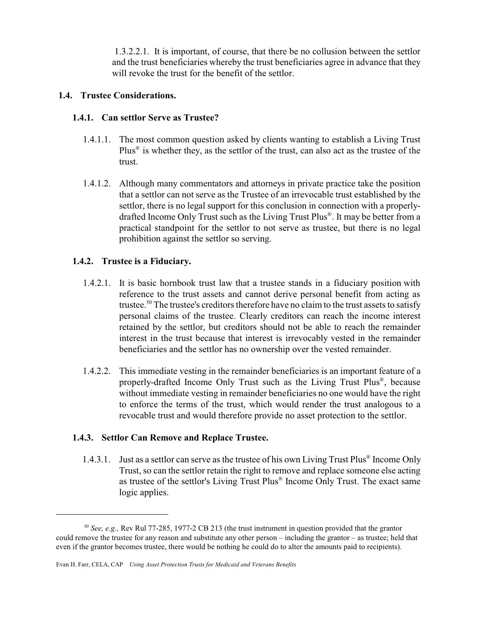1.3.2.2.1. It is important, of course, that there be no collusion between the settlor and the trust beneficiaries whereby the trust beneficiaries agree in advance that they will revoke the trust for the benefit of the settlor.

#### **1.4. Trustee Considerations.**

#### **1.4.1. Can settlor Serve as Trustee?**

- 1.4.1.1. The most common question asked by clients wanting to establish a Living Trust Plus<sup>®</sup> is whether they, as the settlor of the trust, can also act as the trustee of the trust.
- 1.4.1.2. Although many commentators and attorneys in private practice take the position that a settlor can not serve as the Trustee of an irrevocable trust established by the settlor, there is no legal support for this conclusion in connection with a properlydrafted Income Only Trust such as the Living Trust Plus® . It may be better from a practical standpoint for the settlor to not serve as trustee, but there is no legal prohibition against the settlor so serving.

#### **1.4.2. Trustee is a Fiduciary.**

- 1.4.2.1. It is basic hornbook trust law that a trustee stands in a fiduciary position with reference to the trust assets and cannot derive personal benefit from acting as trustee.<sup>50</sup> The trustee's creditors therefore have no claim to the trust assets to satisfy personal claims of the trustee. Clearly creditors can reach the income interest retained by the settlor, but creditors should not be able to reach the remainder interest in the trust because that interest is irrevocably vested in the remainder beneficiaries and the settlor has no ownership over the vested remainder.
- 1.4.2.2. This immediate vesting in the remainder beneficiaries is an important feature of a properly-drafted Income Only Trust such as the Living Trust Plus® , because without immediate vesting in remainder beneficiaries no one would have the right to enforce the terms of the trust, which would render the trust analogous to a revocable trust and would therefore provide no asset protection to the settlor.

#### **1.4.3. Settlor Can Remove and Replace Trustee.**

1.4.3.1. Just as a settlor can serve as the trustee of his own Living Trust Plus® Income Only Trust, so can the settlor retain the right to remove and replace someone else acting as trustee of the settlor's Living Trust Plus® Income Only Trust. The exact same logic applies.

<sup>50</sup> *See, e.g.,* Rev Rul 77-285, 1977-2 CB 213 (the trust instrument in question provided that the grantor could remove the trustee for any reason and substitute any other person – including the grantor – as trustee; held that even if the grantor becomes trustee, there would be nothing he could do to alter the amounts paid to recipients).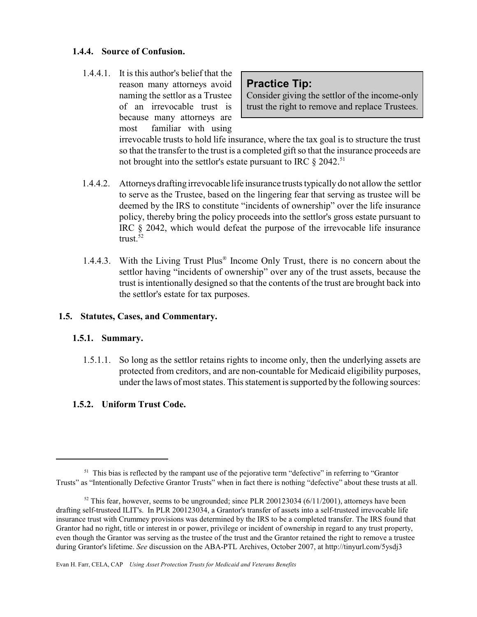### **1.4.4. Source of Confusion.**

1.4.4.1. It is this author's belief that the reason many attorneys avoid naming the settlor as a Trustee of an irrevocable trust is because many attorneys are most familiar with using

**Practice Tip:**

Consider giving the settlor of the income-only trust the right to remove and replace Trustees.

irrevocable trusts to hold life insurance, where the tax goal is to structure the trust so that the transfer to the trust is a completed gift so that the insurance proceeds are not brought into the settlor's estate pursuant to IRC  $\S 2042$ .<sup>51</sup>

- 1.4.4.2. Attorneys drafting irrevocable life insurance trusts typically do not allow the settlor to serve as the Trustee, based on the lingering fear that serving as trustee will be deemed by the IRS to constitute "incidents of ownership" over the life insurance policy, thereby bring the policy proceeds into the settlor's gross estate pursuant to IRC § 2042, which would defeat the purpose of the irrevocable life insurance trust. $52$
- 1.4.4.3. With the Living Trust Plus® Income Only Trust, there is no concern about the settlor having "incidents of ownership" over any of the trust assets, because the trust is intentionally designed so that the contents of the trust are brought back into the settlor's estate for tax purposes.

# **1.5. Statutes, Cases, and Commentary.**

# **1.5.1. Summary.**

 1.5.1.1. So long as the settlor retains rights to income only, then the underlying assets are protected from creditors, and are non-countable for Medicaid eligibility purposes, under the laws of most states. This statement is supported by the following sources:

# **1.5.2. Uniform Trust Code.**

 $51$  This bias is reflected by the rampant use of the pejorative term "defective" in referring to "Grantor" Trusts" as "Intentionally Defective Grantor Trusts" when in fact there is nothing "defective" about these trusts at all.

 $52$  This fear, however, seems to be ungrounded; since PLR 200123034 (6/11/2001), attorneys have been drafting self-trusteed ILIT's. In PLR 200123034, a Grantor's transfer of assets into a self-trusteed irrevocable life insurance trust with Crummey provisions was determined by the IRS to be a completed transfer. The IRS found that Grantor had no right, title or interest in or power, privilege or incident of ownership in regard to any trust property, even though the Grantor was serving as the trustee of the trust and the Grantor retained the right to remove a trustee during Grantor's lifetime. *See* discussion on the ABA-PTL Archives, October 2007, at http://tinyurl.com/5ysdj3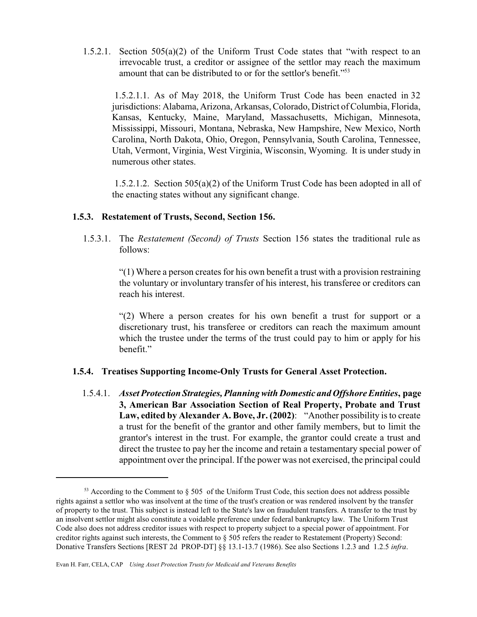1.5.2.1. Section 505(a)(2) of the Uniform Trust Code states that "with respect to an irrevocable trust, a creditor or assignee of the settlor may reach the maximum amount that can be distributed to or for the settlor's benefit."<sup>53</sup>

 1.5.2.1.1. As of May 2018, the Uniform Trust Code has been enacted in 32 jurisdictions: Alabama, Arizona, Arkansas, Colorado, District of Columbia, Florida, Kansas, Kentucky, Maine, Maryland, Massachusetts, Michigan, Minnesota, Mississippi, Missouri, Montana, Nebraska, New Hampshire, New Mexico, North Carolina, North Dakota, Ohio, Oregon, Pennsylvania, South Carolina, Tennessee, Utah, Vermont, Virginia, West Virginia, Wisconsin, Wyoming. It is under study in numerous other states.

 1.5.2.1.2. Section 505(a)(2) of the Uniform Trust Code has been adopted in all of the enacting states without any significant change.

#### **1.5.3. Restatement of Trusts, Second, Section 156.**

 1.5.3.1. The *Restatement (Second) of Trusts* Section 156 states the traditional rule as follows:

> "(1) Where a person creates for his own benefit a trust with a provision restraining the voluntary or involuntary transfer of his interest, his transferee or creditors can reach his interest.

> "(2) Where a person creates for his own benefit a trust for support or a discretionary trust, his transferee or creditors can reach the maximum amount which the trustee under the terms of the trust could pay to him or apply for his benefit."

#### **1.5.4. Treatises Supporting Income-Only Trusts for General Asset Protection.**

1.5.4.1. *Asset Protection Strategies, Planning with Domestic and Offshore Entities***, page 3, American Bar Association Section of Real Property, Probate and Trust Law, edited by Alexander A. Bove, Jr. (2002)**: "Another possibility is to create a trust for the benefit of the grantor and other family members, but to limit the grantor's interest in the trust. For example, the grantor could create a trust and direct the trustee to pay her the income and retain a testamentary special power of appointment over the principal. If the power was not exercised, the principal could

 $53$  According to the Comment to  $\S 505$  of the Uniform Trust Code, this section does not address possible rights against a settlor who was insolvent at the time of the trust's creation or was rendered insolvent by the transfer of property to the trust. This subject is instead left to the State's law on fraudulent transfers. A transfer to the trust by an insolvent settlor might also constitute a voidable preference under federal bankruptcy law. The Uniform Trust Code also does not address creditor issues with respect to property subject to a special power of appointment. For creditor rights against such interests, the Comment to § 505 refers the reader to Restatement (Property) Second: Donative Transfers Sections [REST 2d PROP-DT] §§ 13.1-13.7 (1986). See also Sections 1.2.3 and 1.2.5 *infra*.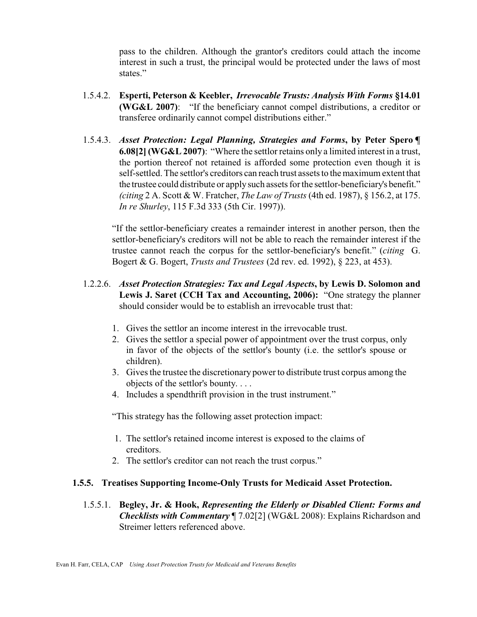pass to the children. Although the grantor's creditors could attach the income interest in such a trust, the principal would be protected under the laws of most states."

- 1.5.4.2. **Esperti, Peterson & Keebler,** *Irrevocable Trusts: Analysis With Forms* **§14.01 (WG&L 2007)**: "If the beneficiary cannot compel distributions, a creditor or transferee ordinarily cannot compel distributions either."
- 1.5.4.3. *Asset Protection: Legal Planning, Strategies and Forms***, by Peter Spero ¶ 6.08[2] (WG&L 2007)**: "Where the settlor retains only a limited interest in a trust, the portion thereof not retained is afforded some protection even though it is self-settled. The settlor's creditors can reach trust assets to the maximum extent that the trustee could distribute or applysuch assets for the settlor-beneficiary's benefit." *(citing* 2 A. Scott & W. Fratcher, *The Law of Trusts* (4th ed. 1987), § 156.2, at 175. *In re Shurley*, 115 F.3d 333 (5th Cir. 1997)).

"If the settlor-beneficiary creates a remainder interest in another person, then the settlor-beneficiary's creditors will not be able to reach the remainder interest if the trustee cannot reach the corpus for the settlor-beneficiary's benefit." (*citing* G. Bogert & G. Bogert, *Trusts and Trustees* (2d rev. ed. 1992), § 223, at 453).

- 1.2.2.6. *Asset Protection Strategies: Tax and Legal Aspects***, by Lewis D. Solomon and Lewis J. Saret (CCH Tax and Accounting, 2006):** "One strategy the planner should consider would be to establish an irrevocable trust that:
	- 1. Gives the settlor an income interest in the irrevocable trust.
	- 2. Gives the settlor a special power of appointment over the trust corpus, only in favor of the objects of the settlor's bounty (i.e. the settlor's spouse or children).
	- 3. Gives the trustee the discretionary power to distribute trust corpus among the objects of the settlor's bounty. . . .
	- 4. Includes a spendthrift provision in the trust instrument."

"This strategy has the following asset protection impact:

- 1. The settlor's retained income interest is exposed to the claims of creditors.
- 2. The settlor's creditor can not reach the trust corpus."

# **1.5.5. Treatises Supporting Income-Only Trusts for Medicaid Asset Protection.**

 1.5.5.1. **Begley, Jr. & Hook,** *Representing the Elderly or Disabled Client: Forms and Checklists with Commentary* ¶ 7.02[2] (WG&L 2008): Explains Richardson and Streimer letters referenced above.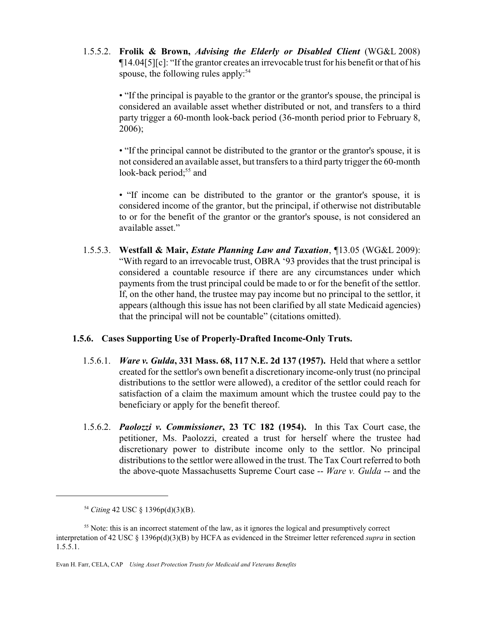1.5.5.2. **Frolik & Brown,** *Advising the Elderly or Disabled Client* (WG&L 2008)  $\P$ 14.04[5][c]: "If the grantor creates an irrevocable trust for his benefit or that of his spouse, the following rules apply:<sup>54</sup>

> • "If the principal is payable to the grantor or the grantor's spouse, the principal is considered an available asset whether distributed or not, and transfers to a third party trigger a 60-month look-back period (36-month period prior to February 8, 2006);

> • "If the principal cannot be distributed to the grantor or the grantor's spouse, it is not considered an available asset, but transfers to a third party trigger the 60-month look-back period;<sup>55</sup> and

> • "If income can be distributed to the grantor or the grantor's spouse, it is considered income of the grantor, but the principal, if otherwise not distributable to or for the benefit of the grantor or the grantor's spouse, is not considered an available asset."

 1.5.5.3. **Westfall & Mair,** *Estate Planning Law and Taxation*, ¶13.05 (WG&L 2009): "With regard to an irrevocable trust, OBRA '93 provides that the trust principal is considered a countable resource if there are any circumstances under which payments from the trust principal could be made to or for the benefit of the settlor. If, on the other hand, the trustee may pay income but no principal to the settlor, it appears (although this issue has not been clarified by all state Medicaid agencies) that the principal will not be countable" (citations omitted).

# **1.5.6. Cases Supporting Use of Properly-Drafted Income-Only Truts.**

- 1.5.6.1. *Ware v. Gulda***, 331 Mass. 68, 117 N.E. 2d 137 (1957).** Held that where a settlor created for the settlor's own benefit a discretionary income-only trust (no principal distributions to the settlor were allowed), a creditor of the settlor could reach for satisfaction of a claim the maximum amount which the trustee could pay to the beneficiary or apply for the benefit thereof.
- 1.5.6.2. *Paolozzi v. Commissioner***, 23 TC 182 (1954).** In this Tax Court case, the petitioner, Ms. Paolozzi, created a trust for herself where the trustee had discretionary power to distribute income only to the settlor. No principal distributions to the settlor were allowed in the trust. The Tax Court referred to both the above-quote Massachusetts Supreme Court case -- *Ware v. Gulda* -- and the

<sup>54</sup> *Citing* 42 USC § 1396p(d)(3)(B).

<sup>&</sup>lt;sup>55</sup> Note: this is an incorrect statement of the law, as it ignores the logical and presumptively correct interpretation of 42 USC § 1396p(d)(3)(B) by HCFA as evidenced in the Streimer letter referenced *supra* in section  $1.5.\overline{5}.1.$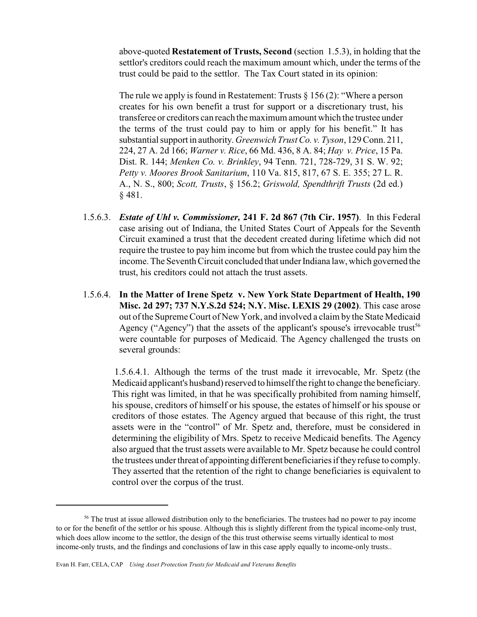above-quoted **Restatement of Trusts, Second** (section 1.5.3), in holding that the settlor's creditors could reach the maximum amount which, under the terms of the trust could be paid to the settlor. The Tax Court stated in its opinion:

The rule we apply is found in Restatement: Trusts  $\S 156 (2)$ : "Where a person creates for his own benefit a trust for support or a discretionary trust, his transferee or creditors can reach the maximum amount which the trustee under the terms of the trust could pay to him or apply for his benefit." It has substantial support in authority. *Greenwich Trust Co. v. Tyson*, 129 Conn. 211, 224, 27 A. 2d 166; *Warner v. Rice*, 66 Md. 436, 8 A. 84; *Hay v. Price*, 15 Pa. Dist. R. 144; *Menken Co. v. Brinkley*, 94 Tenn. 721, 728-729, 31 S. W. 92; *Petty v. Moores Brook Sanitarium*, 110 Va. 815, 817, 67 S. E. 355; 27 L. R. A., N. S., 800; *Scott, Trusts*, § 156.2; *Griswold, Spendthrift Trusts* (2d ed.) § 481.

- 1.5.6.3. *Estate of Uhl v. Commissioner,* **241 F. 2d 867 (7th Cir. 1957)**. In this Federal case arising out of Indiana, the United States Court of Appeals for the Seventh Circuit examined a trust that the decedent created during lifetime which did not require the trustee to pay him income but from which the trustee could pay him the income. The Seventh Circuit concluded that under Indiana law, which governed the trust, his creditors could not attach the trust assets.
- 1.5.6.4. **In the Matter of Irene Spetz v. New York State Department of Health, 190 Misc. 2d 297; 737 N.Y.S.2d 524; N.Y. Misc. LEXIS 29 (2002)**. This case arose out of the Supreme Court of New York, and involved a claim by the State Medicaid Agency ("Agency") that the assets of the applicant's spouse's irrevocable trust<sup>56</sup> were countable for purposes of Medicaid. The Agency challenged the trusts on several grounds:

 1.5.6.4.1. Although the terms of the trust made it irrevocable, Mr. Spetz (the Medicaid applicant's husband) reserved to himself the right to change the beneficiary. This right was limited, in that he was specifically prohibited from naming himself, his spouse, creditors of himself or his spouse, the estates of himself or his spouse or creditors of those estates. The Agency argued that because of this right, the trust assets were in the "control" of Mr. Spetz and, therefore, must be considered in determining the eligibility of Mrs. Spetz to receive Medicaid benefits. The Agency also argued that the trust assets were available to Mr. Spetz because he could control the trustees under threat of appointing different beneficiaries if they refuse to comply. They asserted that the retention of the right to change beneficiaries is equivalent to control over the corpus of the trust.

<sup>&</sup>lt;sup>56</sup> The trust at issue allowed distribution only to the beneficiaries. The trustees had no power to pay income to or for the benefit of the settlor or his spouse. Although this is slightly different from the typical income-only trust, which does allow income to the settlor, the design of the this trust otherwise seems virtually identical to most income-only trusts, and the findings and conclusions of law in this case apply equally to income-only trusts..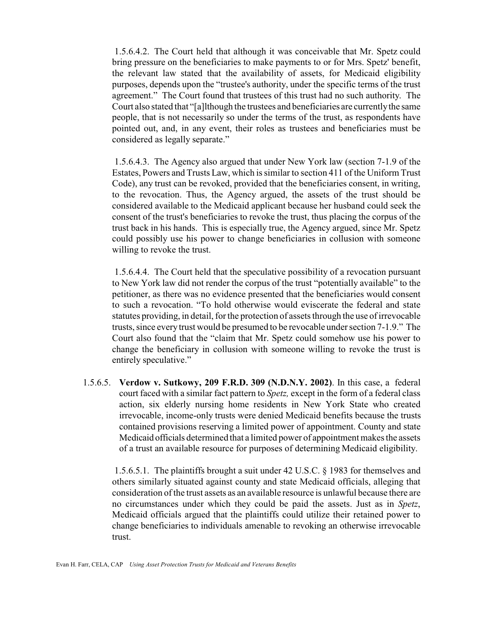1.5.6.4.2. The Court held that although it was conceivable that Mr. Spetz could bring pressure on the beneficiaries to make payments to or for Mrs. Spetz' benefit, the relevant law stated that the availability of assets, for Medicaid eligibility purposes, depends upon the "trustee's authority, under the specific terms of the trust agreement." The Court found that trustees of this trust had no such authority. The Court also stated that "[a]lthough the trustees and beneficiaries are currentlythe same people, that is not necessarily so under the terms of the trust, as respondents have pointed out, and, in any event, their roles as trustees and beneficiaries must be considered as legally separate."

 1.5.6.4.3. The Agency also argued that under New York law (section 7-1.9 of the Estates, Powers and Trusts Law, which is similar to section 411 of the Uniform Trust Code), any trust can be revoked, provided that the beneficiaries consent, in writing, to the revocation. Thus, the Agency argued, the assets of the trust should be considered available to the Medicaid applicant because her husband could seek the consent of the trust's beneficiaries to revoke the trust, thus placing the corpus of the trust back in his hands. This is especially true, the Agency argued, since Mr. Spetz could possibly use his power to change beneficiaries in collusion with someone willing to revoke the trust.

 1.5.6.4.4. The Court held that the speculative possibility of a revocation pursuant to New York law did not render the corpus of the trust "potentially available" to the petitioner, as there was no evidence presented that the beneficiaries would consent to such a revocation. "To hold otherwise would eviscerate the federal and state statutes providing, in detail, for the protection of assets through the use of irrevocable trusts, since everytrust would be presumed to be revocable under section 7-1.9." The Court also found that the "claim that Mr. Spetz could somehow use his power to change the beneficiary in collusion with someone willing to revoke the trust is entirely speculative."

 1.5.6.5. **Verdow v. Sutkowy, 209 F.R.D. 309 (N.D.N.Y. 2002)**. In this case, a federal court faced with a similar fact pattern to *Spetz,* except in the form of a federal class action, six elderly nursing home residents in New York State who created irrevocable, income-only trusts were denied Medicaid benefits because the trusts contained provisions reserving a limited power of appointment. County and state Medicaid officials determined that a limited power of appointment makes the assets of a trust an available resource for purposes of determining Medicaid eligibility.

1.5.6.5.1. The plaintiffs brought a suit under 42 U.S.C. § 1983 for themselves and others similarly situated against county and state Medicaid officials, alleging that consideration of the trust assets as an available resource is unlawful because there are no circumstances under which they could be paid the assets. Just as in *Spetz*, Medicaid officials argued that the plaintiffs could utilize their retained power to change beneficiaries to individuals amenable to revoking an otherwise irrevocable trust.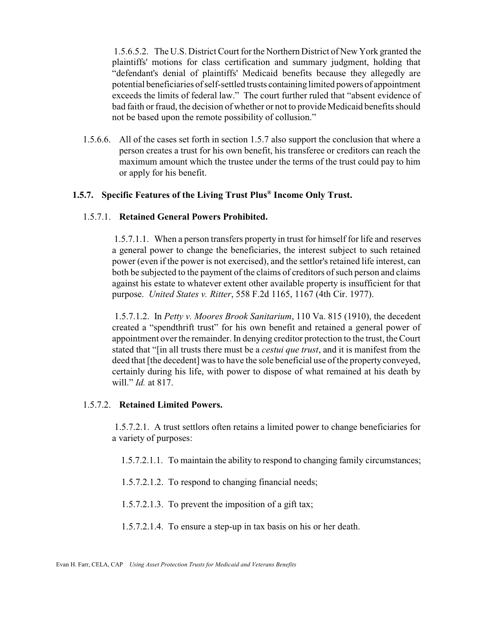1.5.6.5.2. The U.S. District Court for the Northern District of New York granted the plaintiffs' motions for class certification and summary judgment, holding that "defendant's denial of plaintiffs' Medicaid benefits because they allegedly are potential beneficiaries of self-settled trusts containing limited powers of appointment exceeds the limits of federal law." The court further ruled that "absent evidence of bad faith or fraud, the decision of whether or not to provide Medicaid benefits should not be based upon the remote possibility of collusion."

 1.5.6.6. All of the cases set forth in section 1.5.7 also support the conclusion that where a person creates a trust for his own benefit, his transferee or creditors can reach the maximum amount which the trustee under the terms of the trust could pay to him or apply for his benefit.

#### **1.5.7. Specific Features of the Living Trust Plus® Income Only Trust.**

#### 1.5.7.1. **Retained General Powers Prohibited.**

1.5.7.1.1. When a person transfers property in trust for himself for life and reserves a general power to change the beneficiaries, the interest subject to such retained power (even if the power is not exercised), and the settlor's retained life interest, can both be subjected to the payment of the claims of creditors of such person and claims against his estate to whatever extent other available property is insufficient for that purpose. *United States v. Ritter*, 558 F.2d 1165, 1167 (4th Cir. 1977).

 1.5.7.1.2. In *Petty v. Moores Brook Sanitarium*, 110 Va. 815 (1910), the decedent created a "spendthrift trust" for his own benefit and retained a general power of appointment over the remainder. In denying creditor protection to the trust, the Court stated that "[in all trusts there must be a *cestui que trust*, and it is manifest from the deed that [the decedent] was to have the sole beneficial use of the property conveyed, certainly during his life, with power to dispose of what remained at his death by will." *Id.* at 817.

#### 1.5.7.2. **Retained Limited Powers.**

 1.5.7.2.1. A trust settlors often retains a limited power to change beneficiaries for a variety of purposes:

1.5.7.2.1.1. To maintain the ability to respond to changing family circumstances;

1.5.7.2.1.2. To respond to changing financial needs;

1.5.7.2.1.3. To prevent the imposition of a gift tax;

1.5.7.2.1.4. To ensure a step-up in tax basis on his or her death.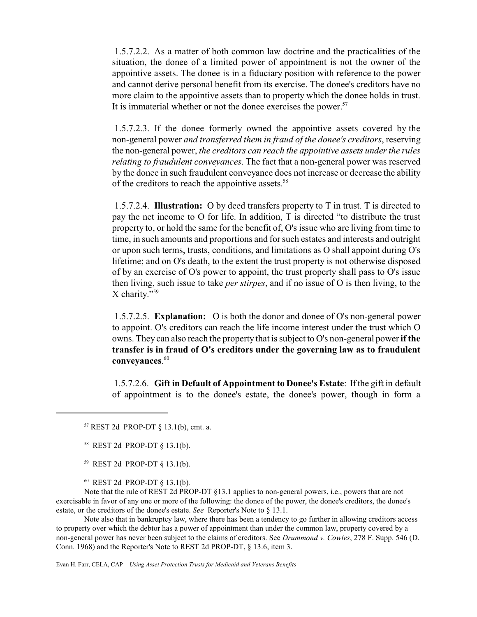1.5.7.2.2. As a matter of both common law doctrine and the practicalities of the situation, the donee of a limited power of appointment is not the owner of the appointive assets. The donee is in a fiduciary position with reference to the power and cannot derive personal benefit from its exercise. The donee's creditors have no more claim to the appointive assets than to property which the donee holds in trust. It is immaterial whether or not the donee exercises the power. $57$ 

 1.5.7.2.3. If the donee formerly owned the appointive assets covered by the non-general power *and transferred them in fraud of the donee's creditors*, reserving the non-general power, *the creditors can reach the appointive assets under the rules relating to fraudulent conveyances*. The fact that a non-general power was reserved by the donee in such fraudulent conveyance does not increase or decrease the ability of the creditors to reach the appointive assets.<sup>58</sup>

 1.5.7.2.4. **Illustration:** O by deed transfers property to T in trust. T is directed to pay the net income to O for life. In addition, T is directed "to distribute the trust property to, or hold the same for the benefit of, O's issue who are living from time to time, in such amounts and proportions and for such estates and interests and outright or upon such terms, trusts, conditions, and limitations as O shall appoint during O's lifetime; and on O's death, to the extent the trust property is not otherwise disposed of by an exercise of O's power to appoint, the trust property shall pass to O's issue then living, such issue to take *per stirpes*, and if no issue of O is then living, to the X charity."<sup>59</sup>

1.5.7.2.5. **Explanation:** O is both the donor and donee of O's non-general power to appoint. O's creditors can reach the life income interest under the trust which O owns. They can also reach the property that is subject to O's non-general power **if the transfer is in fraud of O's creditors under the governing law as to fraudulent conveyances**. 60

1.5.7.2.6. **Gift in Default of Appointment to Donee's Estate**: If the gift in default of appointment is to the donee's estate, the donee's power, though in form a

<sup>59</sup> REST 2d PROP-DT § 13.1(b).

<sup>60</sup> REST 2d PROP-DT § 13.1(b)*.*

Note that the rule of REST 2d PROP-DT §13.1 applies to non-general powers, i.e., powers that are not exercisable in favor of any one or more of the following: the donee of the power, the donee's creditors, the donee's estate, or the creditors of the donee's estate. *See* Reporter's Note to § 13.1.

Note also that in bankruptcy law, where there has been a tendency to go further in allowing creditors access to property over which the debtor has a power of appointment than under the common law, property covered by a non-general power has never been subject to the claims of creditors. See *Drummond v. Cowles*, 278 F. Supp. 546 (D. Conn. 1968) and the Reporter's Note to REST 2d PROP-DT, § 13.6, item 3.

 $57$  REST 2d PROP-DT § 13.1(b), cmt. a.

<sup>58</sup> REST 2d PROP-DT § 13.1(b).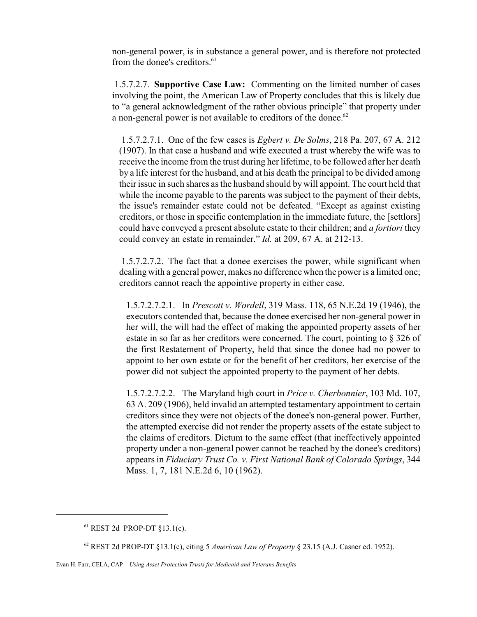non-general power, is in substance a general power, and is therefore not protected from the donee's creditors.<sup>61</sup>

 1.5.7.2.7. **Supportive Case Law:** Commenting on the limited number of cases involving the point, the American Law of Property concludes that this is likely due to "a general acknowledgment of the rather obvious principle" that property under a non-general power is not available to creditors of the donee.<sup>62</sup>

 1.5.7.2.7.1. One of the few cases is *Egbert v. De Solms*, 218 Pa. 207, 67 A. 212 (1907). In that case a husband and wife executed a trust whereby the wife was to receive the income from the trust during her lifetime, to be followed after her death by a life interest for the husband, and at his death the principal to be divided among their issue in such shares as the husband should by will appoint. The court held that while the income payable to the parents was subject to the payment of their debts, the issue's remainder estate could not be defeated. "Except as against existing creditors, or those in specific contemplation in the immediate future, the [settlors] could have conveyed a present absolute estate to their children; and *a fortiori* they could convey an estate in remainder." *Id.* at 209, 67 A. at 212-13.

 1.5.7.2.7.2. The fact that a donee exercises the power, while significant when dealing with a general power, makes no difference when the power is a limited one; creditors cannot reach the appointive property in either case.

1.5.7.2.7.2.1. In *Prescott v. Wordell*, 319 Mass. 118, 65 N.E.2d 19 (1946), the executors contended that, because the donee exercised her non-general power in her will, the will had the effect of making the appointed property assets of her estate in so far as her creditors were concerned. The court, pointing to § 326 of the first Restatement of Property, held that since the donee had no power to appoint to her own estate or for the benefit of her creditors, her exercise of the power did not subject the appointed property to the payment of her debts.

1.5.7.2.7.2.2. The Maryland high court in *Price v. Cherbonnier*, 103 Md. 107, 63 A. 209 (1906), held invalid an attempted testamentary appointment to certain creditors since they were not objects of the donee's non-general power. Further, the attempted exercise did not render the property assets of the estate subject to the claims of creditors. Dictum to the same effect (that ineffectively appointed property under a non-general power cannot be reached by the donee's creditors) appears in *Fiduciary Trust Co. v. First National Bank of Colorado Springs*, 344 Mass. 1, 7, 181 N.E.2d 6, 10 (1962).

<sup>61</sup> REST 2d PROP-DT §13.1(c).

<sup>62</sup> REST 2d PROP-DT §13.1(c), citing 5 *American Law of Property* § 23.15 (A.J. Casner ed. 1952).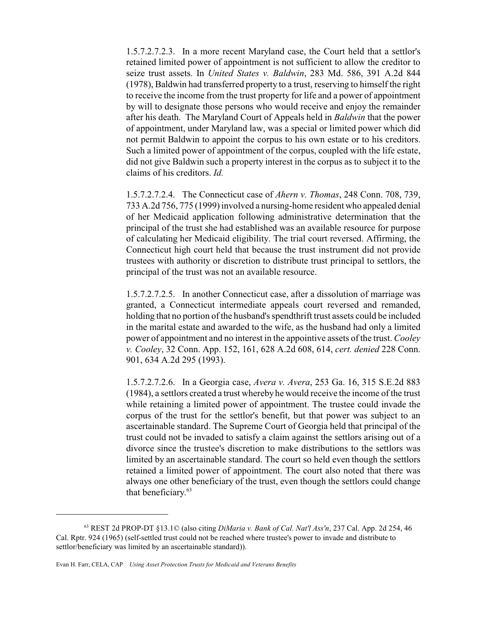1.5.7.2.7.2.3. In a more recent Maryland case, the Court held that a settlor's retained limited power of appointment is not sufficient to allow the creditor to seize trust assets. In *United States v. Baldwin*, 283 Md. 586, 391 A.2d 844 (1978), Baldwin had transferred property to a trust, reserving to himself the right to receive the income from the trust property for life and a power of appointment by will to designate those persons who would receive and enjoy the remainder after his death. The Maryland Court of Appeals held in *Baldwin* that the power of appointment, under Maryland law, was a special or limited power which did not permit Baldwin to appoint the corpus to his own estate or to his creditors. Such a limited power of appointment of the corpus, coupled with the life estate, did not give Baldwin such a property interest in the corpus as to subject it to the claims of his creditors. *Id.*

1.5.7.2.7.2.4. The Connecticut case of *Ahern v. Thomas*, 248 Conn. 708, 739, 733 A.2d 756, 775 (1999) involved a nursing-home resident who appealed denial of her Medicaid application following administrative determination that the principal of the trust she had established was an available resource for purpose of calculating her Medicaid eligibility. The trial court reversed. Affirming, the Connecticut high court held that because the trust instrument did not provide trustees with authority or discretion to distribute trust principal to settlors, the principal of the trust was not an available resource.

1.5.7.2.7.2.5. In another Connecticut case, after a dissolution of marriage was granted, a Connecticut intermediate appeals court reversed and remanded, holding that no portion of the husband's spendthrift trust assets could be included in the marital estate and awarded to the wife, as the husband had only a limited power of appointment and no interest in the appointive assets of the trust. *Cooley v. Cooley*, 32 Conn. App. 152, 161, 628 A.2d 608, 614, *cert. denied* 228 Conn. 901, 634 A.2d 295 (1993).

1.5.7.2.7.2.6. In a Georgia case, *Avera v. Avera*, 253 Ga. 16, 315 S.E.2d 883 (1984), a settlors created a trust whereby he would receive the income of the trust while retaining a limited power of appointment. The trustee could invade the corpus of the trust for the settlor's benefit, but that power was subject to an ascertainable standard. The Supreme Court of Georgia held that principal of the trust could not be invaded to satisfy a claim against the settlors arising out of a divorce since the trustee's discretion to make distributions to the settlors was limited by an ascertainable standard. The court so held even though the settlors retained a limited power of appointment. The court also noted that there was always one other beneficiary of the trust, even though the settlors could change that beneficiary. 63

<sup>63</sup> REST 2d PROP-DT §13.1© (also citing *DiMaria v. Bank of Cal. Nat'l Ass'n*, 237 Cal. App. 2d 254, 46 Cal. Rptr. 924 (1965) (self-settled trust could not be reached where trustee's power to invade and distribute to settlor/beneficiary was limited by an ascertainable standard)).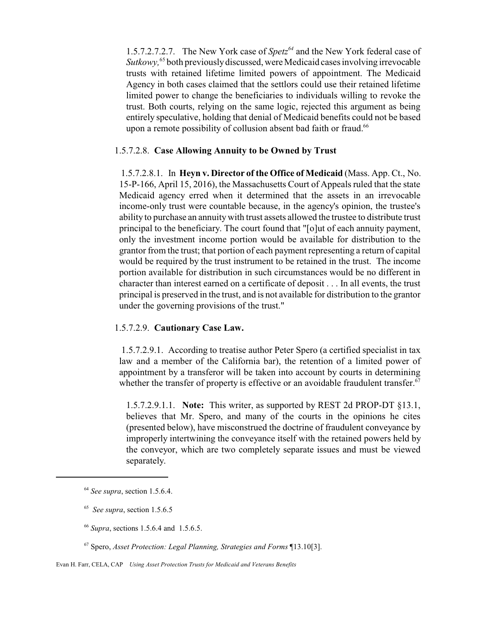1.5.7.2.7.2.7. The New York case of *Spetz<sup>64</sup>* and the New York federal case of Sutkowy,<sup>65</sup> both previously discussed, were Medicaid cases involving irrevocable trusts with retained lifetime limited powers of appointment. The Medicaid Agency in both cases claimed that the settlors could use their retained lifetime limited power to change the beneficiaries to individuals willing to revoke the trust. Both courts, relying on the same logic, rejected this argument as being entirely speculative, holding that denial of Medicaid benefits could not be based upon a remote possibility of collusion absent bad faith or fraud.<sup>66</sup>

#### 1.5.7.2.8. **Case Allowing Annuity to be Owned by Trust**

1.5.7.2.8.1. In **Heyn v. Director of the Office of Medicaid** (Mass. App. Ct., No. 15-P-166, April 15, 2016), the Massachusetts Court of Appeals ruled that the state Medicaid agency erred when it determined that the assets in an irrevocable income-only trust were countable because, in the agency's opinion, the trustee's ability to purchase an annuity with trust assets allowed the trustee to distribute trust principal to the beneficiary. The court found that "[o]ut of each annuity payment, only the investment income portion would be available for distribution to the grantor from the trust; that portion of each payment representing a return of capital would be required by the trust instrument to be retained in the trust. The income portion available for distribution in such circumstances would be no different in character than interest earned on a certificate of deposit . . . In all events, the trust principal is preserved in the trust, and is not available for distribution to the grantor under the governing provisions of the trust."

#### 1.5.7.2.9. **Cautionary Case Law.**

1.5.7.2.9.1. According to treatise author Peter Spero (a certified specialist in tax law and a member of the California bar), the retention of a limited power of appointment by a transferor will be taken into account by courts in determining whether the transfer of property is effective or an avoidable fraudulent transfer.<sup>67</sup>

1.5.7.2.9.1.1. **Note:** This writer, as supported by REST 2d PROP-DT §13.1, believes that Mr. Spero, and many of the courts in the opinions he cites (presented below), have misconstrued the doctrine of fraudulent conveyance by improperly intertwining the conveyance itself with the retained powers held by the conveyor, which are two completely separate issues and must be viewed separately.

- <sup>66</sup> *Supra*, sections 1.5.6.4 and 1.5.6.5.
- <sup>67</sup> Spero, *Asset Protection: Legal Planning, Strategies and Forms* ¶13.10[3].

<sup>64</sup> *See supra*, section 1.5.6.4.

<sup>65</sup> *See supra*, section 1.5.6.5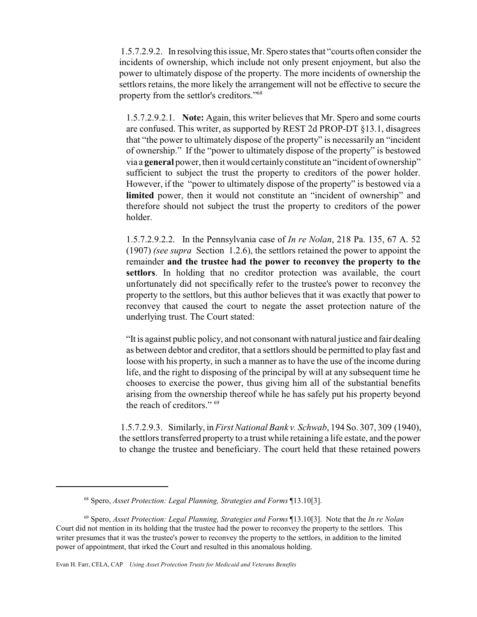1.5.7.2.9.2. In resolving this issue, Mr. Spero states that "courts often consider the incidents of ownership, which include not only present enjoyment, but also the power to ultimately dispose of the property. The more incidents of ownership the settlors retains, the more likely the arrangement will not be effective to secure the property from the settlor's creditors."<sup>68</sup>

1.5.7.2.9.2.1. **Note:** Again, this writer believes that Mr. Spero and some courts are confused. This writer, as supported by REST 2d PROP-DT §13.1, disagrees that "the power to ultimately dispose of the property" is necessarily an "incident of ownership." If the "power to ultimately dispose of the property" is bestowed via a **general** power, then it would certainlyconstitute an "incident of ownership" sufficient to subject the trust the property to creditors of the power holder. However, if the "power to ultimately dispose of the property" is bestowed via a **limited** power, then it would not constitute an "incident of ownership" and therefore should not subject the trust the property to creditors of the power holder.

1.5.7.2.9.2.2. In the Pennsylvania case of *In re Nolan*, 218 Pa. 135, 67 A. 52 (1907) *(see supra* Section 1.2.6), the settlors retained the power to appoint the remainder **and the trustee had the power to reconvey the property to the settlors**. In holding that no creditor protection was available, the court unfortunately did not specifically refer to the trustee's power to reconvey the property to the settlors, but this author believes that it was exactly that power to reconvey that caused the court to negate the asset protection nature of the underlying trust. The Court stated:

"It is against public policy, and not consonant with natural justice and fair dealing as between debtor and creditor, that a settlors should be permitted to play fast and loose with his property, in such a manner as to have the use of the income during life, and the right to disposing of the principal by will at any subsequent time he chooses to exercise the power, thus giving him all of the substantial benefits arising from the ownership thereof while he has safely put his property beyond the reach of creditors." 69

1.5.7.2.9.3. Similarly, in *First National Bank v. Schwab*, 194 So. 307, 309 (1940), the settlors transferred property to a trust while retaining a life estate, and the power to change the trustee and beneficiary. The court held that these retained powers

<sup>68</sup> Spero, *Asset Protection: Legal Planning, Strategies and Forms* ¶13.10[3].

<sup>69</sup> Spero, *Asset Protection: Legal Planning, Strategies and Forms* ¶13.10[3]. Note that the *In re Nolan* Court did not mention in its holding that the trustee had the power to reconvey the property to the settlors. This writer presumes that it was the trustee's power to reconvey the property to the settlors, in addition to the limited power of appointment, that irked the Court and resulted in this anomalous holding.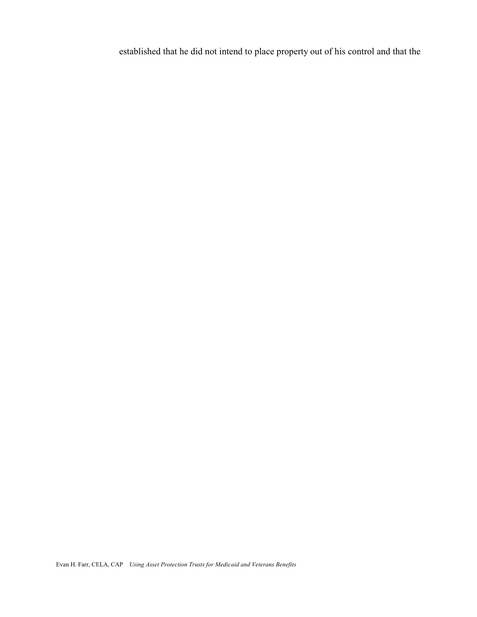established that he did not intend to place property out of his control and that the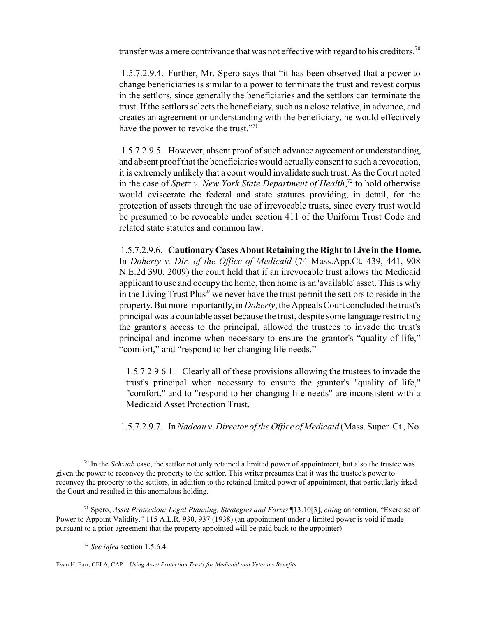transfer was a mere contrivance that was not effective with regard to his creditors.<sup>70</sup>

 1.5.7.2.9.4. Further, Mr. Spero says that "it has been observed that a power to change beneficiaries is similar to a power to terminate the trust and revest corpus in the settlors, since generally the beneficiaries and the settlors can terminate the trust. If the settlors selects the beneficiary, such as a close relative, in advance, and creates an agreement or understanding with the beneficiary, he would effectively have the power to revoke the trust."<sup>71</sup>

1.5.7.2.9.5. However, absent proof of such advance agreement or understanding, and absent proof that the beneficiaries would actually consent to such a revocation, it is extremely unlikely that a court would invalidate such trust. As the Court noted in the case of *Spetz v. New York State Department of Health*, 72 to hold otherwise would eviscerate the federal and state statutes providing, in detail, for the protection of assets through the use of irrevocable trusts, since every trust would be presumed to be revocable under section 411 of the Uniform Trust Code and related state statutes and common law.

1.5.7.2.9.6. **Cautionary Cases About Retaining the Right toLive in the Home.** In *Doherty v. Dir. of the Office of Medicaid* (74 Mass.App.Ct. 439, 441, 908 N.E.2d 390, 2009) the court held that if an irrevocable trust allows the Medicaid applicant to use and occupy the home, then home is an 'available' asset. This is why in the Living Trust Plus® we never have the trust permit the settlors to reside in the property.Butmore importantly, in *Doherty*, the Appeals Court concluded the trust's principal was a countable asset because the trust, despite some language restricting the grantor's access to the principal, allowed the trustees to invade the trust's principal and income when necessary to ensure the grantor's "quality of life," "comfort," and "respond to her changing life needs."

1.5.7.2.9.6.1. Clearly all of these provisions allowing the trustees to invade the trust's principal when necessary to ensure the grantor's "quality of life," "comfort," and to "respond to her changing life needs" are inconsistent with a Medicaid Asset Protection Trust.

1.5.7.2.9.7. In *Nadeau v. Director of the Office of Medicaid* (Mass. Super. Ct , No.

<sup>72</sup> *See infra* section 1.5.6.4.

<sup>&</sup>lt;sup>70</sup> In the *Schwab* case, the settlor not only retained a limited power of appointment, but also the trustee was given the power to reconvey the property to the settlor. This writer presumes that it was the trustee's power to reconvey the property to the settlors, in addition to the retained limited power of appointment, that particularly irked the Court and resulted in this anomalous holding.

<sup>71</sup> Spero, *Asset Protection: Legal Planning, Strategies and Forms* ¶13.10[3], *citing* annotation, "Exercise of Power to Appoint Validity," 115 A.L.R. 930, 937 (1938) (an appointment under a limited power is void if made pursuant to a prior agreement that the property appointed will be paid back to the appointer).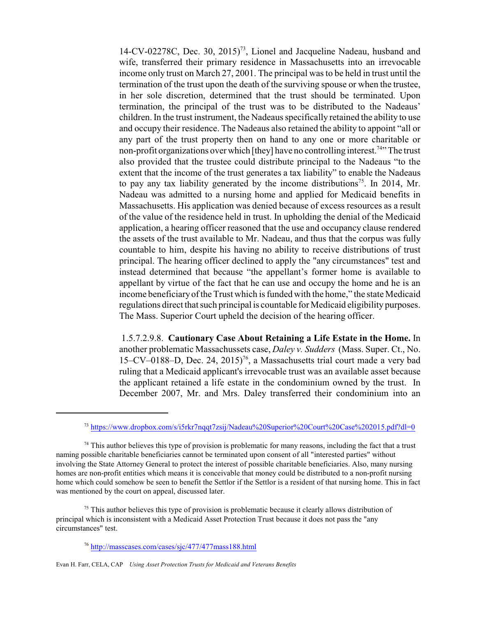14-CV-02278C, Dec. 30, 2015)<sup>73</sup>, Lionel and Jacqueline Nadeau, husband and wife, transferred their primary residence in Massachusetts into an irrevocable income only trust on March 27, 2001. The principal was to be held in trust until the termination of the trust upon the death of the surviving spouse or when the trustee, in her sole discretion, determined that the trust should be terminated. Upon termination, the principal of the trust was to be distributed to the Nadeaus' children. In the trust instrument, the Nadeaus specifically retained the ability to use and occupy their residence. The Nadeaus also retained the ability to appoint "all or any part of the trust property then on hand to any one or more charitable or non-profit organizations over which [they] have no controlling interest.<sup>74</sup>" The trust also provided that the trustee could distribute principal to the Nadeaus "to the extent that the income of the trust generates a tax liability" to enable the Nadeaus to pay any tax liability generated by the income distributions<sup>75</sup>. In 2014, Mr. Nadeau was admitted to a nursing home and applied for Medicaid benefits in Massachusetts. His application was denied because of excess resources as a result of the value of the residence held in trust. In upholding the denial of the Medicaid application, a hearing officer reasoned that the use and occupancy clause rendered the assets of the trust available to Mr. Nadeau, and thus that the corpus was fully countable to him, despite his having no ability to receive distributions of trust principal. The hearing officer declined to apply the "any circumstances" test and instead determined that because "the appellant's former home is available to appellant by virtue of the fact that he can use and occupy the home and he is an income beneficiaryof the Trust which is funded with the home," the state Medicaid regulations direct that such principal is countable for Medicaid eligibility purposes. The Mass. Superior Court upheld the decision of the hearing officer.

 1.5.7.2.9.8. **Cautionary Case About Retaining a Life Estate in the Home.** In another problematic Massachussets case, *Daley v. Sudders* (Mass. Super. Ct., No. 15–CV–0188–D, Dec. 24, 2015)<sup>76</sup>, a Massachusetts trial court made a very bad ruling that a Medicaid applicant's irrevocable trust was an available asset because the applicant retained a life estate in the condominium owned by the trust. In December 2007, Mr. and Mrs. Daley transferred their condominium into an

<sup>75</sup> This author believes this type of provision is problematic because it clearly allows distribution of principal which is inconsistent with a Medicaid Asset Protection Trust because it does not pass the "any circumstances" test.

<sup>73</sup> <https://www.dropbox.com/s/i5rkr7nqqt7zsij/Nadeau%20Superior%20Court%20Case%202015.pdf?dl=0>

 $74$  This author believes this type of provision is problematic for many reasons, including the fact that a trust naming possible charitable beneficiaries cannot be terminated upon consent of all "interested parties" without involving the State Attorney General to protect the interest of possible charitable beneficiaries. Also, many nursing homes are non-profit entities which means it is conceivable that money could be distributed to a non-profit nursing home which could somehow be seen to benefit the Settlor if the Settlor is a resident of that nursing home. This in fact was mentioned by the court on appeal, discussed later.

<sup>76</sup> <http://masscases.com/cases/sjc/477/477mass188.html>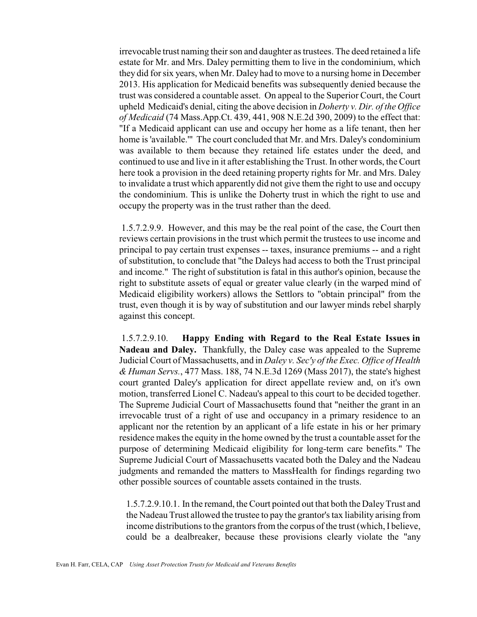irrevocable trust naming their son and daughter as trustees. The deed retained a life estate for Mr. and Mrs. Daley permitting them to live in the condominium, which they did for six years, when Mr. Daley had to move to a nursing home in December 2013. His application for Medicaid benefits was subsequently denied because the trust was considered a countable asset. On appeal to the Superior Court, the Court upheld Medicaid's denial, citing the above decision in *Doherty v. Dir. of the Office of Medicaid* (74 Mass.App.Ct. 439, 441, 908 N.E.2d 390, 2009) to the effect that: "If a Medicaid applicant can use and occupy her home as a life tenant, then her home is 'available.'" The court concluded that Mr. and Mrs. Daley's condominium was available to them because they retained life estates under the deed, and continued to use and live in it after establishing the Trust. In other words, the Court here took a provision in the deed retaining property rights for Mr. and Mrs. Daley to invalidate a trust which apparently did not give them the right to use and occupy the condominium. This is unlike the Doherty trust in which the right to use and occupy the property was in the trust rather than the deed.

 1.5.7.2.9.9. However, and this may be the real point of the case, the Court then reviews certain provisions in the trust which permit the trustees to use income and principal to pay certain trust expenses -- taxes, insurance premiums -- and a right of substitution, to conclude that "the Daleys had access to both the Trust principal and income." The right of substitution is fatal in this author's opinion, because the right to substitute assets of equal or greater value clearly (in the warped mind of Medicaid eligibility workers) allows the Settlors to "obtain principal" from the trust, even though it is by way of substitution and our lawyer minds rebel sharply against this concept.

 1.5.7.2.9.10. **Happy Ending with Regard to the Real Estate Issues in Nadeau and Daley.** Thankfully, the Daley case was appealed to the Supreme Judicial Court of Massachusetts, and in *Daley v. Sec'y of the Exec. Office of Health & Human Servs.*, 477 Mass. 188, 74 N.E.3d 1269 (Mass 2017), the state's highest court granted Daley's application for direct appellate review and, on it's own motion, transferred Lionel C. Nadeau's appeal to this court to be decided together. The Supreme Judicial Court of Massachusetts found that "neither the grant in an irrevocable trust of a right of use and occupancy in a primary residence to an applicant nor the retention by an applicant of a life estate in his or her primary residence makes the equity in the home owned by the trust a countable asset for the purpose of determining Medicaid eligibility for long-term care benefits." The Supreme Judicial Court of Massachusetts vacated both the Daley and the Nadeau judgments and remanded the matters to MassHealth for findings regarding two other possible sources of countable assets contained in the trusts.

1.5.7.2.9.10.1. In the remand, the Court pointed out that both the DaleyTrust and the Nadeau Trust allowed the trustee to pay the grantor's tax liability arising from income distributions to the grantors from the corpus of the trust (which, I believe, could be a dealbreaker, because these provisions clearly violate the "any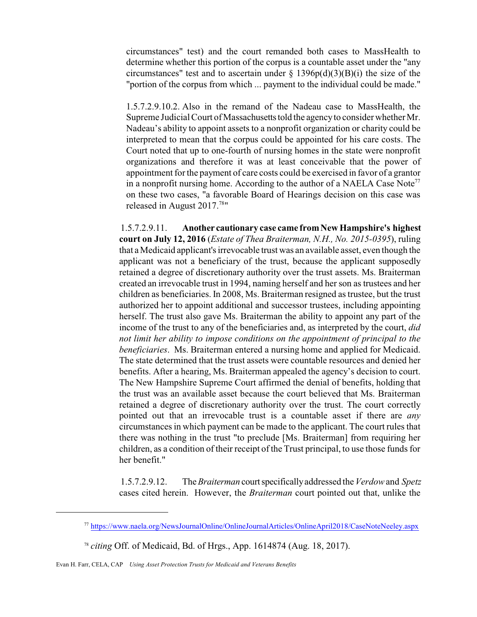circumstances" test) and the court remanded both cases to MassHealth to determine whether this portion of the corpus is a countable asset under the "any circumstances" test and to ascertain under  $\S$  1396p(d)(3)(B)(i) the size of the "portion of the corpus from which ... payment to the individual could be made."

1.5.7.2.9.10.2. Also in the remand of the Nadeau case to MassHealth, the Supreme Judicial Court of Massachusetts told the agency to consider whether Mr. Nadeau's ability to appoint assets to a nonprofit organization or charity could be interpreted to mean that the corpus could be appointed for his care costs. The Court noted that up to one-fourth of nursing homes in the state were nonprofit organizations and therefore it was at least conceivable that the power of appointment for the payment of care costs could be exercised in favor of a grantor in a nonprofit nursing home. According to the author of a NAELA Case Note<sup>77</sup> on these two cases, "a favorable Board of Hearings decision on this case was released in August 2017.<sup>78</sup>"

1.5.7.2.9.11. **Another cautionary case came fromNewHampshire's highest court on July 12, 2016** (*Estate of Thea Braiterman, N.H., No. 2015-0395*), ruling that aMedicaid applicant's irrevocable trust was an available asset, even though the applicant was not a beneficiary of the trust, because the applicant supposedly retained a degree of discretionary authority over the trust assets. Ms. Braiterman created an irrevocable trust in 1994, naming herself and her son as trustees and her children as beneficiaries. In 2008, Ms. Braiterman resigned as trustee, but the trust authorized her to appoint additional and successor trustees, including appointing herself. The trust also gave Ms. Braiterman the ability to appoint any part of the income of the trust to any of the beneficiaries and, as interpreted by the court, *did not limit her ability to impose conditions on the appointment of principal to the beneficiaries*. Ms. Braiterman entered a nursing home and applied for Medicaid. The state determined that the trust assets were countable resources and denied her benefits. After a hearing, Ms. Braiterman appealed the agency's decision to court. The New Hampshire Supreme Court affirmed the denial of benefits, holding that the trust was an available asset because the court believed that Ms. Braiterman retained a degree of discretionary authority over the trust. The court correctly pointed out that an irrevocable trust is a countable asset if there are *any* circumstances in which payment can be made to the applicant. The court rules that there was nothing in the trust "to preclude [Ms. Braiterman] from requiring her children, as a condition of their receipt of the Trust principal, to use those funds for her benefit."

1.5.7.2.9.12. The*Braiterman* courtspecificallyaddressed the *Verdow* and *Spetz* cases cited herein. However, the *Braiterman* court pointed out that, unlike the

<sup>77</sup> <https://www.naela.org/NewsJournalOnline/OnlineJournalArticles/OnlineApril2018/CaseNoteNeeley.aspx>

<sup>78</sup> *citing* Off. of Medicaid, Bd. of Hrgs., App. 1614874 (Aug. 18, 2017).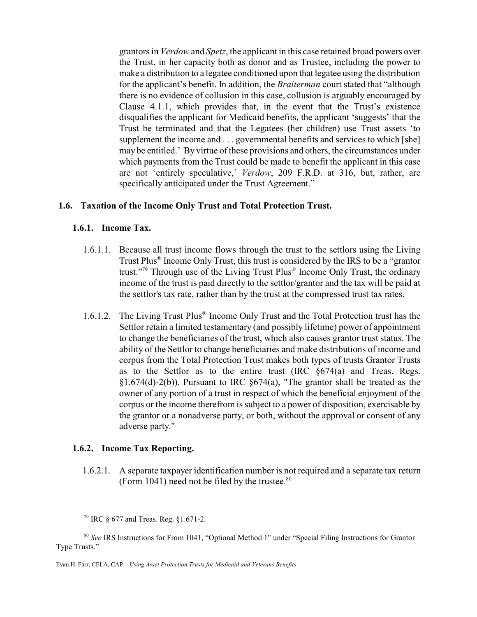grantors in *Verdow* and *Spetz*, the applicant in this case retained broad powers over the Trust, in her capacity both as donor and as Trustee, including the power to make a distribution to a legatee conditioned upon that legatee using the distribution for the applicant's benefit. In addition, the *Braiterman* court stated that "although there is no evidence of collusion in this case, collusion is arguably encouraged by Clause 4.1.1, which provides that, in the event that the Trust's existence disqualifies the applicant for Medicaid benefits, the applicant 'suggests' that the Trust be terminated and that the Legatees (her children) use Trust assets 'to supplement the income and . . . governmental benefits and services to which [she] may be entitled.' By virtue of these provisions and others, the circumstances under which payments from the Trust could be made to benefit the applicant in this case are not 'entirely speculative,' *Verdow*, 209 F.R.D. at 316, but, rather, are specifically anticipated under the Trust Agreement."

#### **1.6. Taxation of the Income Only Trust and Total Protection Trust.**

#### **1.6.1. Income Tax.**

- 1.6.1.1. Because all trust income flows through the trust to the settlors using the Living Trust Plus® Income Only Trust, this trust is considered by the IRS to be a "grantor trust."<sup>79</sup> Through use of the Living Trust Plus<sup>®</sup> Income Only Trust, the ordinary income of the trust is paid directly to the settlor/grantor and the tax will be paid at the settlor's tax rate, rather than by the trust at the compressed trust tax rates.
- 1.6.1.2. The Living Trust Plus ® Income Only Trust and the Total Protection trust has the Settlor retain a limited testamentary (and possibly lifetime) power of appointment to change the beneficiaries of the trust, which also causes grantor trust status. The ability of the Settlor to change beneficiaries and make distributions of income and corpus from the Total Protection Trust makes both types of trusts Grantor Trusts as to the Settlor as to the entire trust (IRC §674(a) and Treas. Regs. §1.674(d)-2(b)). Pursuant to IRC §674(a), "The grantor shall be treated as the owner of any portion of a trust in respect of which the beneficial enjoyment of the corpus or the income therefrom is subject to a power of disposition, exercisable by the grantor or a nonadverse party, or both, without the approval or consent of any adverse party."

#### **1.6.2. Income Tax Reporting.**

1.6.2.1. A separate taxpayer identification number is not required and a separate tax return (Form 1041) need not be filed by the trustee. $80$ 

<sup>79</sup> IRC § 677 and Treas. Reg. §1.671-2.

<sup>80</sup> *See* IRS Instructions for From 1041, "Optional Method 1" under "Special Filing Instructions for Grantor Type Trusts."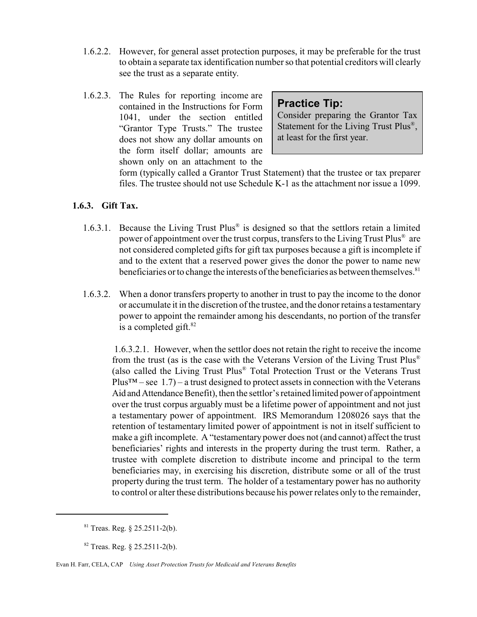- 1.6.2.2. However, for general asset protection purposes, it may be preferable for the trust to obtain a separate tax identification number so that potential creditors will clearly see the trust as a separate entity.
- 1.6.2.3. The Rules for reporting income are contained in the Instructions for Form 1041, under the section entitled "Grantor Type Trusts." The trustee does not show any dollar amounts on the form itself dollar; amounts are shown only on an attachment to the

# **Practice Tip:**

Consider preparing the Grantor Tax Statement for the Living Trust Plus<sup>®</sup>, at least for the first year.

form (typically called a Grantor Trust Statement) that the trustee or tax preparer files. The trustee should not use Schedule K-1 as the attachment nor issue a 1099.

#### **1.6.3. Gift Tax.**

- 1.6.3.1. Because the Living Trust Plus® is designed so that the settlors retain a limited power of appointment over the trust corpus, transfers to the Living Trust Plus® are not considered completed gifts for gift tax purposes because a gift is incomplete if and to the extent that a reserved power gives the donor the power to name new beneficiaries or to change the interests of the beneficiaries as between themselves.<sup>81</sup>
- 1.6.3.2. When a donor transfers property to another in trust to pay the income to the donor or accumulate it in the discretion of the trustee, and the donor retains a testamentary power to appoint the remainder among his descendants, no portion of the transfer is a completed gift. $82$

1.6.3.2.1. However, when the settlor does not retain the right to receive the income from the trust (as is the case with the Veterans Version of the Living Trust Plus® (also called the Living Trust Plus® Total Protection Trust or the Veterans Trust  $Plus^{TM} - see 1.7) - a trust designed to protect assets in connection with the Veterans$ Aid and Attendance Benefit), then the settlor's retained limited power of appointment over the trust corpus arguably must be a lifetime power of appointment and not just a testamentary power of appointment. IRS Memorandum 1208026 says that the retention of testamentary limited power of appointment is not in itself sufficient to make a gift incomplete. A "testamentary power does not (and cannot) affect the trust beneficiaries' rights and interests in the property during the trust term. Rather, a trustee with complete discretion to distribute income and principal to the term beneficiaries may, in exercising his discretion, distribute some or all of the trust property during the trust term. The holder of a testamentary power has no authority to control or alter these distributions because his power relates only to the remainder,

 $81$  Treas. Reg.  $8$  25.2511-2(b).

 $82$  Treas. Reg.  $\S$  25.2511-2(b).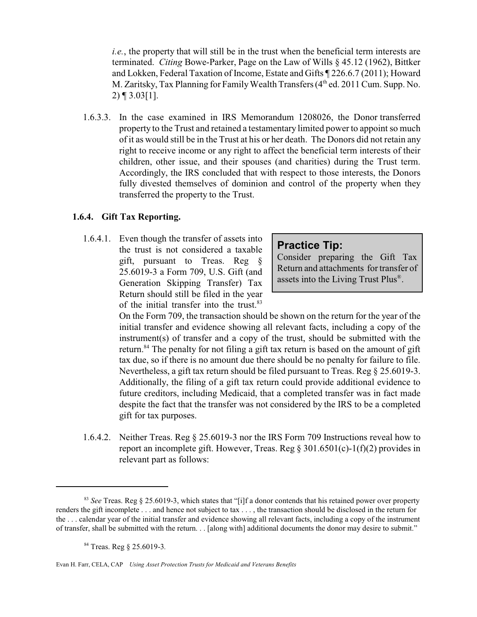*i.e.*, the property that will still be in the trust when the beneficial term interests are terminated. *Citing* Bowe-Parker, Page on the Law of Wills § 45.12 (1962), Bittker and Lokken, Federal Taxation of Income, Estate and Gifts ¶ 226.6.7 (2011); Howard M. Zaritsky, Tax Planning for Family Wealth Transfers (4th ed. 2011 Cum. Supp. No. 2) ¶ 3.03[1].

 1.6.3.3. In the case examined in IRS Memorandum 1208026, the Donor transferred property to the Trust and retained a testamentary limited power to appoint so much of it as would still be in the Trust at his or her death. The Donors did not retain any right to receive income or any right to affect the beneficial term interests of their children, other issue, and their spouses (and charities) during the Trust term. Accordingly, the IRS concluded that with respect to those interests, the Donors fully divested themselves of dominion and control of the property when they transferred the property to the Trust.

#### **1.6.4. Gift Tax Reporting.**

 1.6.4.1. Even though the transfer of assets into the trust is not considered a taxable gift, pursuant to Treas. Reg § 25.6019-3 a Form 709, U.S. Gift (and Generation Skipping Transfer) Tax Return should still be filed in the year of the initial transfer into the trust.<sup>83</sup>

#### **Practice Tip:**

Consider preparing the Gift Tax Return and attachments for transfer of assets into the Living Trust Plus®.

On the Form 709, the transaction should be shown on the return for the year of the initial transfer and evidence showing all relevant facts, including a copy of the instrument(s) of transfer and a copy of the trust, should be submitted with the return.<sup>84</sup> The penalty for not filing a gift tax return is based on the amount of gift tax due, so if there is no amount due there should be no penalty for failure to file. Nevertheless, a gift tax return should be filed pursuant to Treas. Reg § 25.6019-3. Additionally, the filing of a gift tax return could provide additional evidence to future creditors, including Medicaid, that a completed transfer was in fact made despite the fact that the transfer was not considered by the IRS to be a completed gift for tax purposes.

 1.6.4.2. Neither Treas. Reg § 25.6019-3 nor the IRS Form 709 Instructions reveal how to report an incomplete gift. However, Treas. Reg  $\S 301.6501(c) - 1(f)(2)$  provides in relevant part as follows:

<sup>83</sup> *See* Treas. Reg § 25.6019-3, which states that "[i]f a donor contends that his retained power over property renders the gift incomplete . . . and hence not subject to tax . . . , the transaction should be disclosed in the return for the . . . calendar year of the initial transfer and evidence showing all relevant facts, including a copy of the instrument of transfer, shall be submitted with the return. . . [along with] additional documents the donor may desire to submit."

<sup>84</sup> Treas. Reg § 25.6019-3*.*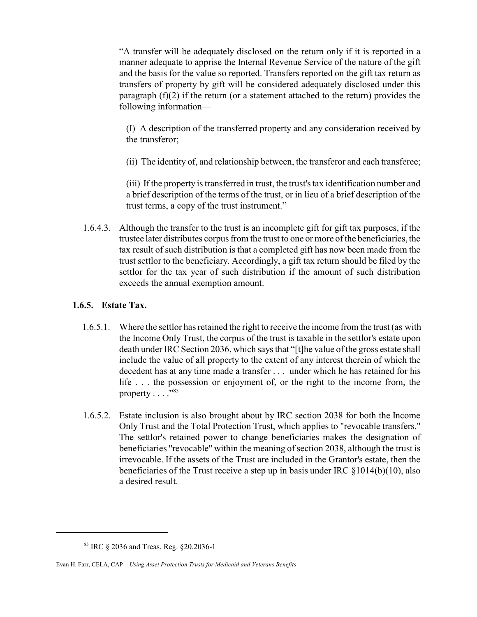"A transfer will be adequately disclosed on the return only if it is reported in a manner adequate to apprise the Internal Revenue Service of the nature of the gift and the basis for the value so reported. Transfers reported on the gift tax return as transfers of property by gift will be considered adequately disclosed under this paragraph  $(f)(2)$  if the return (or a statement attached to the return) provides the following information—

(I) A description of the transferred property and any consideration received by the transferor;

(ii) The identity of, and relationship between, the transferor and each transferee;

(iii) If the property is transferred in trust, the trust's tax identification number and a brief description of the terms of the trust, or in lieu of a brief description of the trust terms, a copy of the trust instrument."

 1.6.4.3. Although the transfer to the trust is an incomplete gift for gift tax purposes, if the trustee later distributes corpus from the trust to one or more of the beneficiaries, the tax result of such distribution is that a completed gift has now been made from the trust settlor to the beneficiary. Accordingly, a gift tax return should be filed by the settlor for the tax year of such distribution if the amount of such distribution exceeds the annual exemption amount.

#### **1.6.5. Estate Tax.**

- 1.6.5.1. Where the settlor has retained the right to receive the income from the trust (as with the Income Only Trust, the corpus of the trust is taxable in the settlor's estate upon death under IRC Section 2036, which says that "[t]he value of the gross estate shall include the value of all property to the extent of any interest therein of which the decedent has at any time made a transfer . . . under which he has retained for his life . . . the possession or enjoyment of, or the right to the income from, the property  $\dots$ ."85
- 1.6.5.2. Estate inclusion is also brought about by IRC section 2038 for both the Income Only Trust and the Total Protection Trust, which applies to "revocable transfers." The settlor's retained power to change beneficiaries makes the designation of beneficiaries "revocable" within the meaning of section 2038, although the trust is irrevocable. If the assets of the Trust are included in the Grantor's estate, then the beneficiaries of the Trust receive a step up in basis under IRC §1014(b)(10), also a desired result.

<sup>85</sup> IRC § 2036 and Treas. Reg. §20.2036-1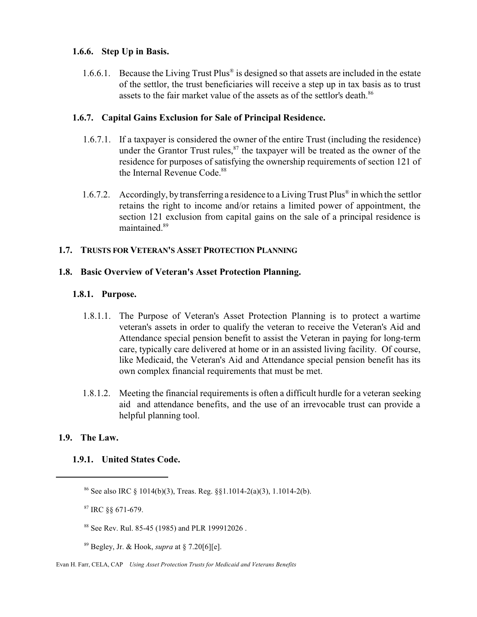#### **1.6.6. Step Up in Basis.**

1.6.6.1. Because the Living Trust Plus® is designed so that assets are included in the estate of the settlor, the trust beneficiaries will receive a step up in tax basis as to trust assets to the fair market value of the assets as of the settlor's death.<sup>86</sup>

#### **1.6.7. Capital Gains Exclusion for Sale of Principal Residence.**

- 1.6.7.1. If a taxpayer is considered the owner of the entire Trust (including the residence) under the Grantor Trust rules, $87$  the taxpayer will be treated as the owner of the residence for purposes of satisfying the ownership requirements of section 121 of the Internal Revenue Code.<sup>88</sup>
- 1.6.7.2. Accordingly, by transferring a residence to a Living Trust Plus® in which the settlor retains the right to income and/or retains a limited power of appointment, the section 121 exclusion from capital gains on the sale of a principal residence is maintained.<sup>89</sup>

#### **1.7. TRUSTS FOR VETERAN'S ASSET PROTECTION PLANNING**

#### **1.8. Basic Overview of Veteran's Asset Protection Planning.**

#### **1.8.1. Purpose.**

- 1.8.1.1. The Purpose of Veteran's Asset Protection Planning is to protect a wartime veteran's assets in order to qualify the veteran to receive the Veteran's Aid and Attendance special pension benefit to assist the Veteran in paying for long-term care, typically care delivered at home or in an assisted living facility. Of course, like Medicaid, the Veteran's Aid and Attendance special pension benefit has its own complex financial requirements that must be met.
- 1.8.1.2. Meeting the financial requirements is often a difficult hurdle for a veteran seeking aid and attendance benefits, and the use of an irrevocable trust can provide a helpful planning tool.

#### **1.9. The Law.**

#### **1.9.1. United States Code.**

<sup>87</sup> IRC §§ 671-679.

<sup>&</sup>lt;sup>86</sup> See also IRC § 1014(b)(3), Treas. Reg. §§1.1014-2(a)(3), 1.1014-2(b).

<sup>88</sup> See Rev. Rul. 85-45 (1985) and PLR 199912026 .

<sup>89</sup> Begley, Jr. & Hook, *supra* at § 7.20[6][e].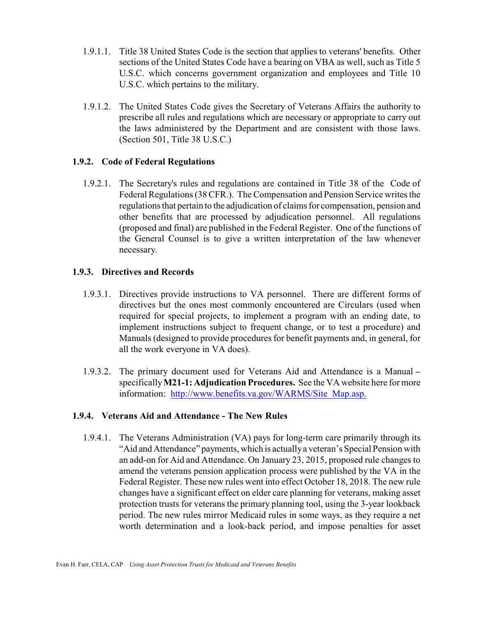- 1.9.1.1. Title 38 United States Code is the section that applies to veterans' benefits. Other sections of the United States Code have a bearing on VBA as well, such as Title 5 U.S.C. which concerns government organization and employees and Title 10 U.S.C. which pertains to the military.
- 1.9.1.2. The United States Code gives the Secretary of Veterans Affairs the authority to prescribe all rules and regulations which are necessary or appropriate to carry out the laws administered by the Department and are consistent with those laws. (Section 501, Title 38 U.S.C.)

#### **1.9.2. Code of Federal Regulations**

 1.9.2.1. The Secretary's rules and regulations are contained in Title 38 of the Code of Federal Regulations (38 CFR.). The Compensation and Pension Service writes the regulations that pertain to the adjudication of claims for compensation, pension and other benefits that are processed by adjudication personnel. All regulations (proposed and final) are published in the Federal Register. One of the functions of the General Counsel is to give a written interpretation of the law whenever necessary.

#### **1.9.3. Directives and Records**

- 1.9.3.1. Directives provide instructions to VA personnel. There are different forms of directives but the ones most commonly encountered are Circulars (used when required for special projects, to implement a program with an ending date, to implement instructions subject to frequent change, or to test a procedure) and Manuals (designed to provide procedures for benefit payments and, in general, for all the work everyone in VA does).
- 1.9.3.2. The primary document used for Veterans Aid and Attendance is a Manual **–** specifically**M21-1: Adjudication Procedures.** See the VA website here for more information: http://www.benefits.va.gov/WARMS/Site Map.asp.

#### **1.9.4. Veterans Aid and Attendance - The New Rules**

 1.9.4.1. The Veterans Administration (VA) pays for long-term care primarily through its "Aid and Attendance" payments, which is actuallya veteran's Special Pension with an add-on for Aid and Attendance. On January 23, 2015, proposed rule changes to amend the veterans pension application process were published by the VA in the Federal Register. These new rules went into effect October 18, 2018. The new rule changes have a significant effect on elder care planning for veterans, making asset protection trusts for veterans the primary planning tool, using the 3-year lookback period. The new rules mirror Medicaid rules in some ways, as they require a net worth determination and a look-back period, and impose penalties for asset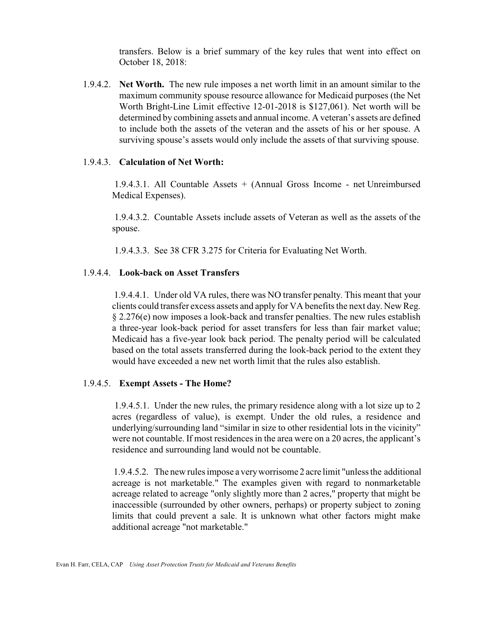transfers. Below is a brief summary of the key rules that went into effect on October 18, 2018:

 1.9.4.2. **Net Worth.** The new rule imposes a net worth limit in an amount similar to the maximum community spouse resource allowance for Medicaid purposes (the Net Worth Bright-Line Limit effective 12-01-2018 is \$127,061). Net worth will be determined by combining assets and annual income. A veteran's assets are defined to include both the assets of the veteran and the assets of his or her spouse. A surviving spouse's assets would only include the assets of that surviving spouse.

#### 1.9.4.3. **Calculation of Net Worth:**

 1.9.4.3.1. All Countable Assets + (Annual Gross Income - net Unreimbursed Medical Expenses).

 1.9.4.3.2. Countable Assets include assets of Veteran as well as the assets of the spouse.

1.9.4.3.3. See 38 CFR 3.275 for Criteria for Evaluating Net Worth.

#### 1.9.4.4. **Look-back on Asset Transfers**

1.9.4.4.1. Under old VA rules, there was NO transfer penalty. This meant that your clients could transfer excess assets and apply for VA benefits the next day. New Reg. § 2.276(e) now imposes a look-back and transfer penalties. The new rules establish a three-year look-back period for asset transfers for less than fair market value; Medicaid has a five-year look back period. The penalty period will be calculated based on the total assets transferred during the look-back period to the extent they would have exceeded a new net worth limit that the rules also establish.

#### 1.9.4.5. **Exempt Assets - The Home?**

 1.9.4.5.1. Under the new rules, the primary residence along with a lot size up to 2 acres (regardless of value), is exempt. Under the old rules, a residence and underlying/surrounding land "similar in size to other residential lots in the vicinity" were not countable. If most residences in the area were on a 20 acres, the applicant's residence and surrounding land would not be countable.

1.9.4.5.2. The new rules impose a veryworrisome 2 acre limit "unless the additional acreage is not marketable." The examples given with regard to nonmarketable acreage related to acreage "only slightly more than 2 acres," property that might be inaccessible (surrounded by other owners, perhaps) or property subject to zoning limits that could prevent a sale. It is unknown what other factors might make additional acreage "not marketable."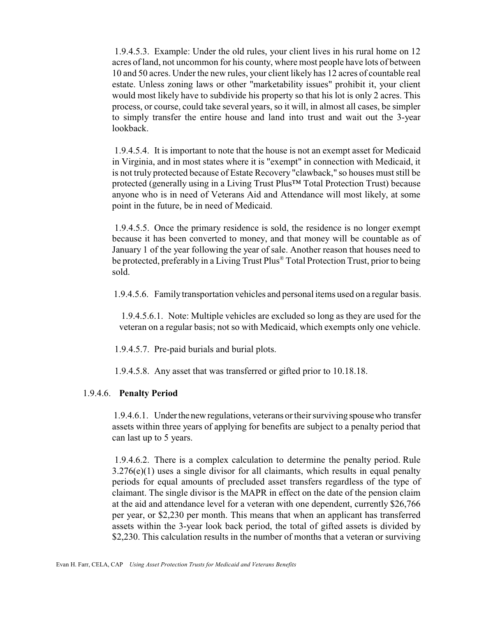1.9.4.5.3. Example: Under the old rules, your client lives in his rural home on 12 acres of land, not uncommon for his county, where most people have lots of between 10 and 50 acres. Under the new rules, your client likely has 12 acres of countable real estate. Unless zoning laws or other "marketability issues" prohibit it, your client would most likely have to subdivide his property so that his lot is only 2 acres. This process, or course, could take several years, so it will, in almost all cases, be simpler to simply transfer the entire house and land into trust and wait out the 3-year lookback.

1.9.4.5.4. It is important to note that the house is not an exempt asset for Medicaid in Virginia, and in most states where it is "exempt" in connection with Medicaid, it is not truly protected because of Estate Recovery "clawback," so houses must still be protected (generally using in a Living Trust Plus™ Total Protection Trust) because anyone who is in need of Veterans Aid and Attendance will most likely, at some point in the future, be in need of Medicaid.

 1.9.4.5.5. Once the primary residence is sold, the residence is no longer exempt because it has been converted to money, and that money will be countable as of January 1 of the year following the year of sale. Another reason that houses need to be protected, preferably in a Living Trust Plus® Total Protection Trust, prior to being sold.

1.9.4.5.6. Familytransportation vehicles and personal items used on a regular basis.

1.9.4.5.6.1. Note: Multiple vehicles are excluded so long as they are used for the veteran on a regular basis; not so with Medicaid, which exempts only one vehicle.

1.9.4.5.7. Pre-paid burials and burial plots.

1.9.4.5.8. Any asset that was transferred or gifted prior to 10.18.18.

#### 1.9.4.6. **Penalty Period**

1.9.4.6.1. Underthe newregulations, veterans or their surviving spousewho transfer assets within three years of applying for benefits are subject to a penalty period that can last up to 5 years.

 1.9.4.6.2. There is a complex calculation to determine the penalty period. Rule 3.276(e)(1) uses a single divisor for all claimants, which results in equal penalty periods for equal amounts of precluded asset transfers regardless of the type of claimant. The single divisor is the MAPR in effect on the date of the pension claim at the aid and attendance level for a veteran with one dependent, currently \$26,766 per year, or \$2,230 per month. This means that when an applicant has transferred assets within the 3-year look back period, the total of gifted assets is divided by \$2,230. This calculation results in the number of months that a veteran or surviving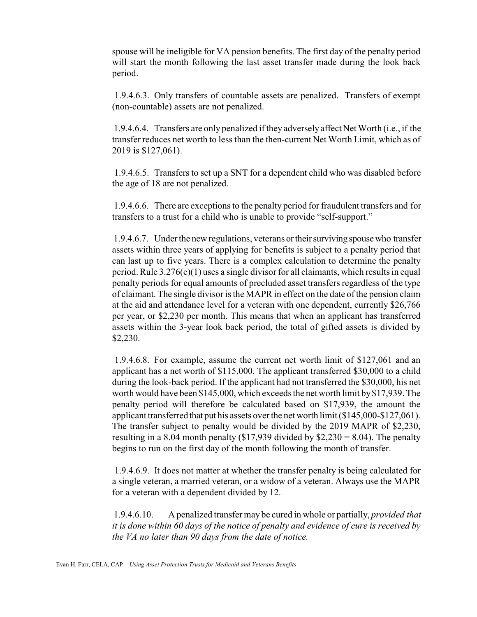spouse will be ineligible for VA pension benefits. The first day of the penalty period will start the month following the last asset transfer made during the look back period.

 1.9.4.6.3. Only transfers of countable assets are penalized. Transfers of exempt (non-countable) assets are not penalized.

1.9.4.6.4. Transfers are only penalized if they adverselyaffect Net Worth (i.e., if the transfer reduces net worth to less than the then-current Net Worth Limit, which as of 2019 is \$127,061).

1.9.4.6.5. Transfers to set up a SNT for a dependent child who was disabled before the age of 18 are not penalized.

1.9.4.6.6. There are exceptions to the penalty period for fraudulent transfers and for transfers to a trust for a child who is unable to provide "self-support."

1.9.4.6.7. Under the new regulations, veterans or their surviving spouse who transfer assets within three years of applying for benefits is subject to a penalty period that can last up to five years. There is a complex calculation to determine the penalty period. Rule  $3.276(e)(1)$  uses a single divisor for all claimants, which results in equal penalty periods for equal amounts of precluded asset transfers regardless of the type of claimant. The single divisor is the MAPR in effect on the date of the pension claim at the aid and attendance level for a veteran with one dependent, currently \$26,766 per year, or \$2,230 per month. This means that when an applicant has transferred assets within the 3-year look back period, the total of gifted assets is divided by \$2,230.

 1.9.4.6.8. For example, assume the current net worth limit of \$127,061 and an applicant has a net worth of \$115,000. The applicant transferred \$30,000 to a child during the look-back period. If the applicant had not transferred the \$30,000, his net worth would have been \$145,000, which exceeds the net worth limit by\$17,939. The penalty period will therefore be calculated based on \$17,939, the amount the applicant transferred that put his assets over the net worth limit (\$145,000-\$127,061). The transfer subject to penalty would be divided by the 2019 MAPR of \$2,230, resulting in a 8.04 month penalty (\$17,939 divided by  $$2,230 = 8.04$ ). The penalty begins to run on the first day of the month following the month of transfer.

 1.9.4.6.9. It does not matter at whether the transfer penalty is being calculated for a single veteran, a married veteran, or a widow of a veteran. Always use the MAPR for a veteran with a dependent divided by 12.

1.9.4.6.10. A penalized transfer may be cured in whole or partially, *provided that it is done within 60 days of the notice of penalty and evidence of cure is received by the VA no later than 90 days from the date of notice.*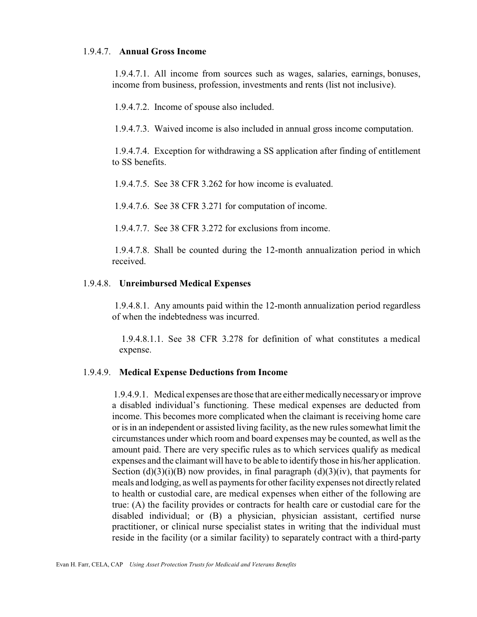#### 1.9.4.7. **Annual Gross Income**

 1.9.4.7.1. All income from sources such as wages, salaries, earnings, bonuses, income from business, profession, investments and rents (list not inclusive).

1.9.4.7.2. Income of spouse also included.

1.9.4.7.3. Waived income is also included in annual gross income computation.

 1.9.4.7.4. Exception for withdrawing a SS application after finding of entitlement to SS benefits.

1.9.4.7.5. See 38 CFR 3.262 for how income is evaluated.

1.9.4.7.6. See 38 CFR 3.271 for computation of income.

1.9.4.7.7. See 38 CFR 3.272 for exclusions from income.

 1.9.4.7.8. Shall be counted during the 12-month annualization period in which received.

#### 1.9.4.8. **Unreimbursed Medical Expenses**

 1.9.4.8.1. Any amounts paid within the 12-month annualization period regardless of when the indebtedness was incurred.

 1.9.4.8.1.1. See 38 CFR 3.278 for definition of what constitutes a medical expense.

#### 1.9.4.9. **Medical Expense Deductions from Income**

1.9.4.9.1. Medical expenses are those that are eithermedicallynecessaryor improve a disabled individual's functioning. These medical expenses are deducted from income. This becomes more complicated when the claimant is receiving home care or is in an independent or assisted living facility, as the new rules somewhat limit the circumstances under which room and board expenses may be counted, as well as the amount paid. There are very specific rules as to which services qualify as medical expenses and the claimant will have to be able to identify those in his/her application. Section  $(d)(3)(i)(B)$  now provides, in final paragraph  $(d)(3)(iv)$ , that payments for meals and lodging, as well as payments for other facility expenses not directly related to health or custodial care, are medical expenses when either of the following are true: (A) the facility provides or contracts for health care or custodial care for the disabled individual; or (B) a physician, physician assistant, certified nurse practitioner, or clinical nurse specialist states in writing that the individual must reside in the facility (or a similar facility) to separately contract with a third-party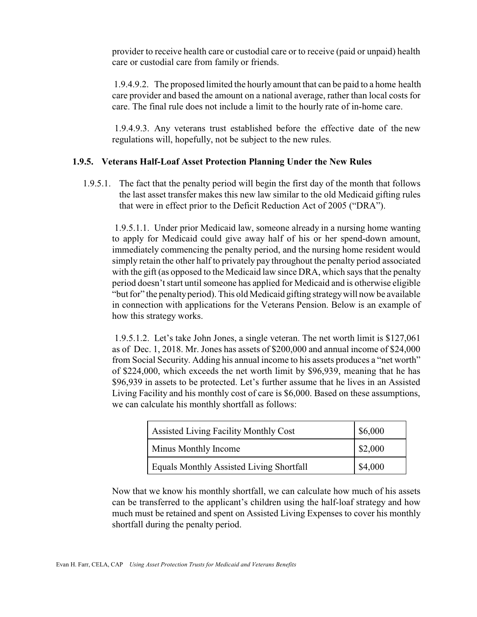provider to receive health care or custodial care or to receive (paid or unpaid) health care or custodial care from family or friends.

1.9.4.9.2. The proposed limited the hourly amount that can be paid to a home health care provider and based the amount on a national average, rather than local costs for care. The final rule does not include a limit to the hourly rate of in-home care.

 1.9.4.9.3. Any veterans trust established before the effective date of the new regulations will, hopefully, not be subject to the new rules.

#### **1.9.5. Veterans Half-Loaf Asset Protection Planning Under the New Rules**

 1.9.5.1. The fact that the penalty period will begin the first day of the month that follows the last asset transfer makes this new law similar to the old Medicaid gifting rules that were in effect prior to the Deficit Reduction Act of 2005 ("DRA").

 1.9.5.1.1. Under prior Medicaid law, someone already in a nursing home wanting to apply for Medicaid could give away half of his or her spend-down amount, immediately commencing the penalty period, and the nursing home resident would simply retain the other half to privately pay throughout the penalty period associated with the gift (as opposed to the Medicaid law since DRA, which says that the penalty period doesn't start until someone has applied for Medicaid and is otherwise eligible "but for" the penaltyperiod). This old Medicaid gifting strategywill now be available in connection with applications for the Veterans Pension. Below is an example of how this strategy works.

 1.9.5.1.2. Let's take John Jones, a single veteran. The net worth limit is \$127,061 as of Dec. 1, 2018. Mr. Jones has assets of \$200,000 and annual income of \$24,000 from Social Security. Adding his annual income to his assets produces a "net worth" of \$224,000, which exceeds the net worth limit by \$96,939, meaning that he has \$96,939 in assets to be protected. Let's further assume that he lives in an Assisted Living Facility and his monthly cost of care is \$6,000. Based on these assumptions, we can calculate his monthly shortfall as follows:

| <b>Assisted Living Facility Monthly Cost</b>    | \$6,000 |
|-------------------------------------------------|---------|
| <b>Minus Monthly Income</b>                     | \$2,000 |
| <b>Equals Monthly Assisted Living Shortfall</b> | \$4,000 |

Now that we know his monthly shortfall, we can calculate how much of his assets can be transferred to the applicant's children using the half-loaf strategy and how much must be retained and spent on Assisted Living Expenses to cover his monthly shortfall during the penalty period.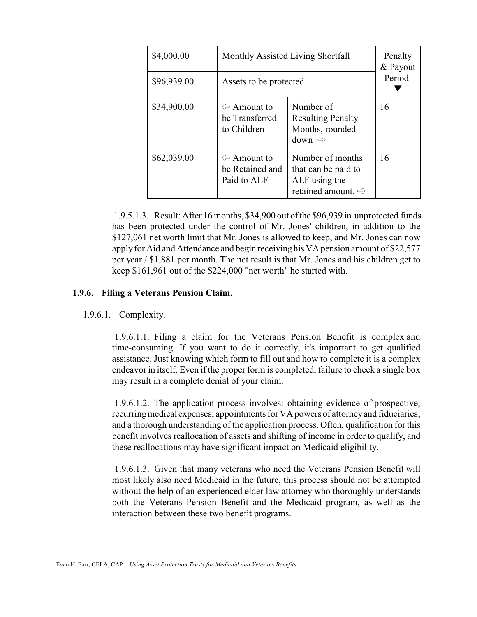| \$4,000.00  | Monthly Assisted Living Shortfall                             | Penalty<br>& Payout<br>Period                                                              |    |
|-------------|---------------------------------------------------------------|--------------------------------------------------------------------------------------------|----|
| \$96,939.00 | Assets to be protected                                        |                                                                                            |    |
| \$34,900.00 | ← Amount to<br>be Transferred<br>to Children                  | Number of<br><b>Resulting Penalty</b><br>Months, rounded<br>down $\Rightarrow$             | 16 |
| \$62,039.00 | $\Leftrightarrow$ Amount to<br>be Retained and<br>Paid to ALF | Number of months<br>that can be paid to<br>ALF using the<br>retained amount. $\Rightarrow$ | 16 |

1.9.5.1.3. Result: After 16 months, \$34,900 out of the \$96,939 in unprotected funds has been protected under the control of Mr. Jones' children, in addition to the \$127,061 net worth limit that Mr. Jones is allowed to keep, and Mr. Jones can now apply for Aid and Attendance and begin receiving his VA pension amount of \$22,577 per year / \$1,881 per month. The net result is that Mr. Jones and his children get to keep \$161,961 out of the \$224,000 "net worth" he started with.

#### **1.9.6. Filing a Veterans Pension Claim.**

1.9.6.1. Complexity.

 1.9.6.1.1. Filing a claim for the Veterans Pension Benefit is complex and time-consuming. If you want to do it correctly, it's important to get qualified assistance. Just knowing which form to fill out and how to complete it is a complex endeavor in itself. Even if the proper form is completed, failure to check a single box may result in a complete denial of your claim.

 1.9.6.1.2. The application process involves: obtaining evidence of prospective, recurringmedical expenses; appointments for VA powers of attorneyand fiduciaries; and a thorough understanding of the application process. Often, qualification for this benefit involves reallocation of assets and shifting of income in order to qualify, and these reallocations may have significant impact on Medicaid eligibility.

 1.9.6.1.3. Given that many veterans who need the Veterans Pension Benefit will most likely also need Medicaid in the future, this process should not be attempted without the help of an experienced elder law attorney who thoroughly understands both the Veterans Pension Benefit and the Medicaid program, as well as the interaction between these two benefit programs.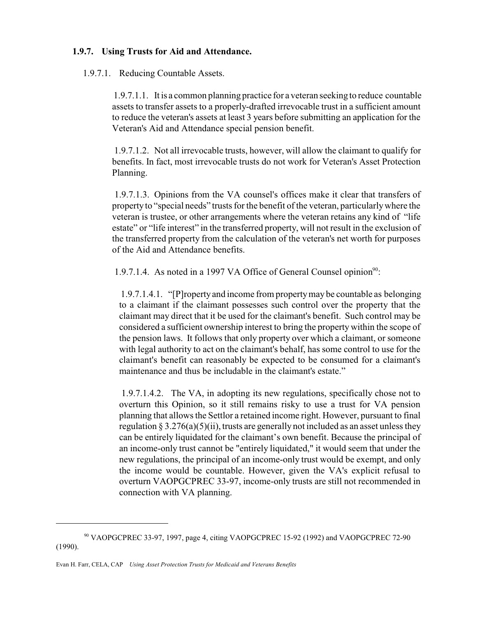#### **1.9.7. Using Trusts for Aid and Attendance.**

#### 1.9.7.1. Reducing Countable Assets.

1.9.7.1.1. It is a common planning practice for a veteran seeking to reduce countable assets to transfer assets to a properly-drafted irrevocable trust in a sufficient amount to reduce the veteran's assets at least 3 years before submitting an application for the Veteran's Aid and Attendance special pension benefit.

1.9.7.1.2. Not all irrevocable trusts, however, will allow the claimant to qualify for benefits. In fact, most irrevocable trusts do not work for Veteran's Asset Protection Planning.

 1.9.7.1.3. Opinions from the VA counsel's offices make it clear that transfers of property to "special needs" trusts for the benefit of the veteran, particularlywhere the veteran is trustee, or other arrangements where the veteran retains any kind of "life estate" or "life interest" in the transferred property, will not result in the exclusion of the transferred property from the calculation of the veteran's net worth for purposes of the Aid and Attendance benefits.

1.9.7.1.4. As noted in a 1997 VA Office of General Counsel opinion<sup>90</sup>:

1.9.7.1.4.1. "[P]ropertyand income from propertymay be countable as belonging to a claimant if the claimant possesses such control over the property that the claimant may direct that it be used for the claimant's benefit. Such control may be considered a sufficient ownership interest to bring the property within the scope of the pension laws. It follows that only property over which a claimant, or someone with legal authority to act on the claimant's behalf, has some control to use for the claimant's benefit can reasonably be expected to be consumed for a claimant's maintenance and thus be includable in the claimant's estate."

 1.9.7.1.4.2. The VA, in adopting its new regulations, specifically chose not to overturn this Opinion, so it still remains risky to use a trust for VA pension planning that allows the Settlor a retained income right. However, pursuant to final regulation  $\S 3.276(a)(5)(ii)$ , trusts are generally not included as an asset unless they can be entirely liquidated for the claimant's own benefit. Because the principal of an income-only trust cannot be "entirely liquidated," it would seem that under the new regulations, the principal of an income-only trust would be exempt, and only the income would be countable. However, given the VA's explicit refusal to overturn VAOPGCPREC 33-97, income-only trusts are still not recommended in connection with VA planning.

<sup>90</sup> VAOPGCPREC 33-97, 1997, page 4, citing VAOPGCPREC 15-92 (1992) and VAOPGCPREC 72-90 (1990).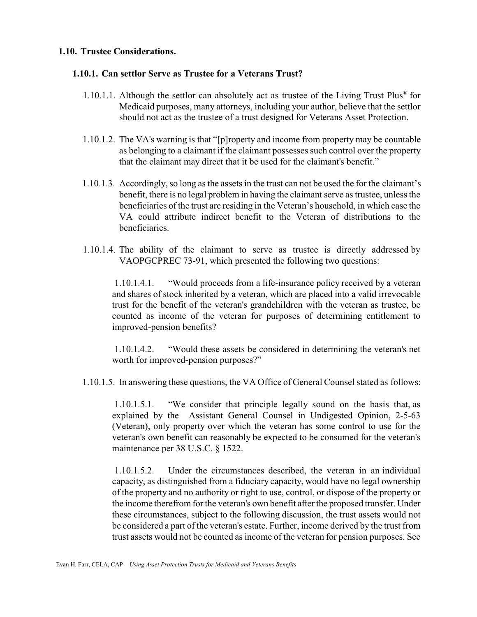#### **1.10. Trustee Considerations.**

#### **1.10.1. Can settlor Serve as Trustee for a Veterans Trust?**

- 1.10.1.1. Although the settlor can absolutely act as trustee of the Living Trust Plus® for Medicaid purposes, many attorneys, including your author, believe that the settlor should not act as the trustee of a trust designed for Veterans Asset Protection.
- 1.10.1.2. The VA's warning is that "[p]roperty and income from property may be countable as belonging to a claimant if the claimant possesses such control over the property that the claimant may direct that it be used for the claimant's benefit."
- 1.10.1.3. Accordingly, so long as the assets in the trust can not be used the for the claimant's benefit, there is no legal problem in having the claimant serve as trustee, unless the beneficiaries of the trust are residing in the Veteran's household, in which case the VA could attribute indirect benefit to the Veteran of distributions to the beneficiaries.
- 1.10.1.4. The ability of the claimant to serve as trustee is directly addressed by VAOPGCPREC 73-91, which presented the following two questions:

 1.10.1.4.1. "Would proceeds from a life-insurance policy received by a veteran and shares of stock inherited by a veteran, which are placed into a valid irrevocable trust for the benefit of the veteran's grandchildren with the veteran as trustee, be counted as income of the veteran for purposes of determining entitlement to improved-pension benefits?

 1.10.1.4.2. "Would these assets be considered in determining the veteran's net worth for improved-pension purposes?"

1.10.1.5. In answering these questions, the VA Office of General Counsel stated as follows:

 1.10.1.5.1. "We consider that principle legally sound on the basis that, as explained by the Assistant General Counsel in Undigested Opinion, 2-5-63 (Veteran), only property over which the veteran has some control to use for the veteran's own benefit can reasonably be expected to be consumed for the veteran's maintenance per 38 U.S.C. § 1522.

 1.10.1.5.2. Under the circumstances described, the veteran in an individual capacity, as distinguished from a fiduciary capacity, would have no legal ownership of the property and no authority or right to use, control, or dispose of the property or the income therefrom for the veteran's own benefit after the proposed transfer. Under these circumstances, subject to the following discussion, the trust assets would not be considered a part of the veteran's estate. Further, income derived by the trust from trust assets would not be counted as income of the veteran for pension purposes. See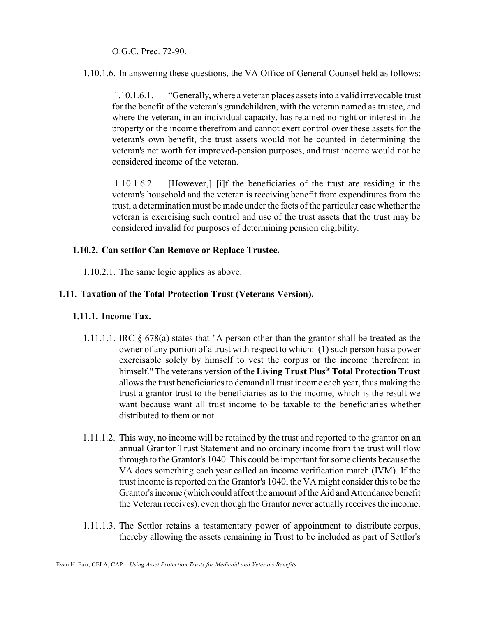O.G.C. Prec. 72-90.

1.10.1.6. In answering these questions, the VA Office of General Counsel held as follows:

1.10.1.6.1. "Generally, where a veteran places assets into a valid irrevocable trust for the benefit of the veteran's grandchildren, with the veteran named as trustee, and where the veteran, in an individual capacity, has retained no right or interest in the property or the income therefrom and cannot exert control over these assets for the veteran's own benefit, the trust assets would not be counted in determining the veteran's net worth for improved-pension purposes, and trust income would not be considered income of the veteran.

 1.10.1.6.2. [However,] [i]f the beneficiaries of the trust are residing in the veteran's household and the veteran is receiving benefit from expenditures from the trust, a determination must be made under the facts of the particular case whether the veteran is exercising such control and use of the trust assets that the trust may be considered invalid for purposes of determining pension eligibility.

#### **1.10.2. Can settlor Can Remove or Replace Trustee.**

1.10.2.1. The same logic applies as above.

#### **1.11. Taxation of the Total Protection Trust (Veterans Version).**

#### **1.11.1. Income Tax.**

- 1.11.1.1. IRC § 678(a) states that "A person other than the grantor shall be treated as the owner of any portion of a trust with respect to which: (1) such person has a power exercisable solely by himself to vest the corpus or the income therefrom in himself." The veterans version of the **Living Trust Plus® Total Protection Trust** allows the trust beneficiaries to demand all trust income each year, thus making the trust a grantor trust to the beneficiaries as to the income, which is the result we want because want all trust income to be taxable to the beneficiaries whether distributed to them or not.
- 1.11.1.2. This way, no income will be retained by the trust and reported to the grantor on an annual Grantor Trust Statement and no ordinary income from the trust will flow through to the Grantor's 1040. This could be important for some clients because the VA does something each year called an income verification match (IVM). If the trust income is reported on the Grantor's 1040, the VA might consider this to be the Grantor's income (which could affect the amount of the Aid and Attendance benefit the Veteran receives), even though the Grantor never actually receives the income.
- 1.11.1.3. The Settlor retains a testamentary power of appointment to distribute corpus, thereby allowing the assets remaining in Trust to be included as part of Settlor's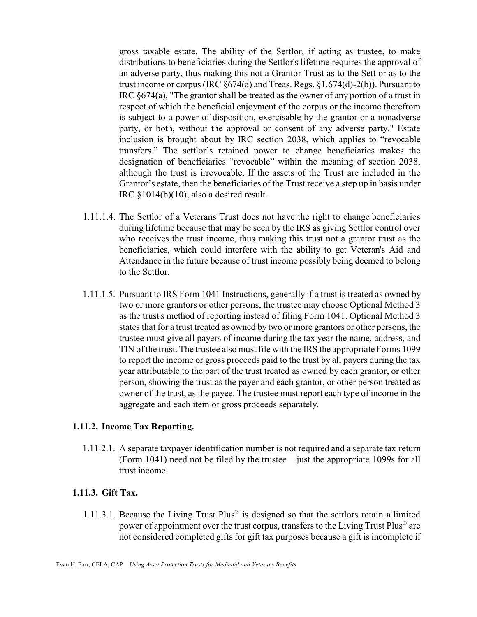gross taxable estate. The ability of the Settlor, if acting as trustee, to make distributions to beneficiaries during the Settlor's lifetime requires the approval of an adverse party, thus making this not a Grantor Trust as to the Settlor as to the trust income or corpus (IRC  $\S674(a)$  and Treas. Regs.  $\S1.674(d)$ -2(b)). Pursuant to IRC §674(a), "The grantor shall be treated as the owner of any portion of a trust in respect of which the beneficial enjoyment of the corpus or the income therefrom is subject to a power of disposition, exercisable by the grantor or a nonadverse party, or both, without the approval or consent of any adverse party." Estate inclusion is brought about by IRC section 2038, which applies to "revocable transfers." The settlor's retained power to change beneficiaries makes the designation of beneficiaries "revocable" within the meaning of section 2038, although the trust is irrevocable. If the assets of the Trust are included in the Grantor's estate, then the beneficiaries of the Trust receive a step up in basis under IRC §1014(b)(10), also a desired result.

- 1.11.1.4. The Settlor of a Veterans Trust does not have the right to change beneficiaries during lifetime because that may be seen by the IRS as giving Settlor control over who receives the trust income, thus making this trust not a grantor trust as the beneficiaries, which could interfere with the ability to get Veteran's Aid and Attendance in the future because of trust income possibly being deemed to belong to the Settlor.
- 1.11.1.5. Pursuant to IRS Form 1041 Instructions, generally if a trust is treated as owned by two or more grantors or other persons, the trustee may choose Optional Method 3 as the trust's method of reporting instead of filing Form 1041. Optional Method 3 states that for a trust treated as owned by two or more grantors or other persons, the trustee must give all payers of income during the tax year the name, address, and TIN of the trust. The trustee also must file with the IRS the appropriate Forms 1099 to report the income or gross proceeds paid to the trust by all payers during the tax year attributable to the part of the trust treated as owned by each grantor, or other person, showing the trust as the payer and each grantor, or other person treated as owner of the trust, as the payee. The trustee must report each type of income in the aggregate and each item of gross proceeds separately.

#### **1.11.2. Income Tax Reporting.**

1.11.2.1. A separate taxpayer identification number is not required and a separate tax return (Form 1041) need not be filed by the trustee – just the appropriate 1099s for all trust income.

#### **1.11.3. Gift Tax.**

 1.11.3.1. Because the Living Trust Plus® is designed so that the settlors retain a limited power of appointment over the trust corpus, transfers to the Living Trust Plus® are not considered completed gifts for gift tax purposes because a gift is incomplete if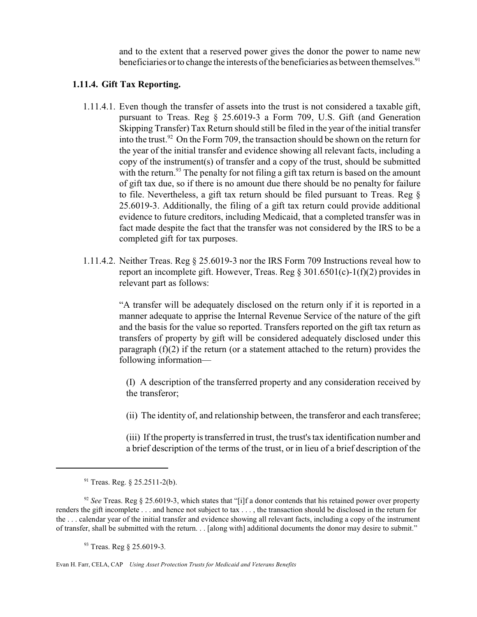and to the extent that a reserved power gives the donor the power to name new beneficiaries or to change the interests of the beneficiaries as between themselves.<sup>91</sup>

#### **1.11.4. Gift Tax Reporting.**

- 1.11.4.1. Even though the transfer of assets into the trust is not considered a taxable gift, pursuant to Treas. Reg § 25.6019-3 a Form 709, U.S. Gift (and Generation Skipping Transfer) Tax Return should still be filed in the year of the initial transfer into the trust.<sup>92</sup> On the Form 709, the transaction should be shown on the return for the year of the initial transfer and evidence showing all relevant facts, including a copy of the instrument(s) of transfer and a copy of the trust, should be submitted with the return.<sup>93</sup> The penalty for not filing a gift tax return is based on the amount of gift tax due, so if there is no amount due there should be no penalty for failure to file. Nevertheless, a gift tax return should be filed pursuant to Treas. Reg § 25.6019-3. Additionally, the filing of a gift tax return could provide additional evidence to future creditors, including Medicaid, that a completed transfer was in fact made despite the fact that the transfer was not considered by the IRS to be a completed gift for tax purposes.
- 1.11.4.2. Neither Treas. Reg § 25.6019-3 nor the IRS Form 709 Instructions reveal how to report an incomplete gift. However, Treas. Reg § 301.6501(c)-1(f)(2) provides in relevant part as follows:

"A transfer will be adequately disclosed on the return only if it is reported in a manner adequate to apprise the Internal Revenue Service of the nature of the gift and the basis for the value so reported. Transfers reported on the gift tax return as transfers of property by gift will be considered adequately disclosed under this paragraph  $(f)(2)$  if the return (or a statement attached to the return) provides the following information—

(I) A description of the transferred property and any consideration received by the transferor;

(ii) The identity of, and relationship between, the transferor and each transferee;

(iii) If the property is transferred in trust, the trust's tax identification number and a brief description of the terms of the trust, or in lieu of a brief description of the

<sup>91</sup> Treas. Reg. § 25.2511-2(b).

<sup>&</sup>lt;sup>92</sup> *See* Treas. Reg § 25.6019-3, which states that "[i]f a donor contends that his retained power over property renders the gift incomplete . . . and hence not subject to tax . . . , the transaction should be disclosed in the return for the . . . calendar year of the initial transfer and evidence showing all relevant facts, including a copy of the instrument of transfer, shall be submitted with the return. . . [along with] additional documents the donor may desire to submit."

<sup>93</sup> Treas. Reg § 25.6019-3*.*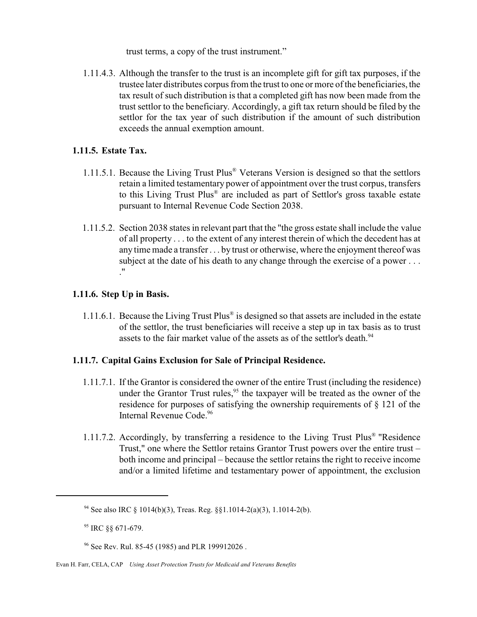trust terms, a copy of the trust instrument."

 1.11.4.3. Although the transfer to the trust is an incomplete gift for gift tax purposes, if the trustee later distributes corpus from the trust to one or more of the beneficiaries, the tax result of such distribution is that a completed gift has now been made from the trust settlor to the beneficiary. Accordingly, a gift tax return should be filed by the settlor for the tax year of such distribution if the amount of such distribution exceeds the annual exemption amount.

#### **1.11.5. Estate Tax.**

- 1.11.5.1. Because the Living Trust Plus® Veterans Version is designed so that the settlors retain a limited testamentary power of appointment over the trust corpus, transfers to this Living Trust Plus® are included as part of Settlor's gross taxable estate pursuant to Internal Revenue Code Section 2038.
- 1.11.5.2. Section 2038 states in relevant part that the "the gross estate shall include the value of all property . . . to the extent of any interest therein of which the decedent has at any time made a transfer . . . by trust or otherwise, where the enjoyment thereof was subject at the date of his death to any change through the exercise of a power ... ."

#### **1.11.6. Step Up in Basis.**

1.11.6.1. Because the Living Trust Plus® is designed so that assets are included in the estate of the settlor, the trust beneficiaries will receive a step up in tax basis as to trust assets to the fair market value of the assets as of the settlor's death.<sup>94</sup>

#### **1.11.7. Capital Gains Exclusion for Sale of Principal Residence.**

- 1.11.7.1. If the Grantor is considered the owner of the entire Trust (including the residence) under the Grantor Trust rules,<sup>95</sup> the taxpayer will be treated as the owner of the residence for purposes of satisfying the ownership requirements of § 121 of the Internal Revenue Code.<sup>96</sup>
- 1.11.7.2. Accordingly, by transferring a residence to the Living Trust Plus® "Residence Trust," one where the Settlor retains Grantor Trust powers over the entire trust – both income and principal – because the settlor retains the right to receive income and/or a limited lifetime and testamentary power of appointment, the exclusion

<sup>94</sup> See also IRC § 1014(b)(3), Treas. Reg. §§1.1014-2(a)(3), 1.1014-2(b).

<sup>95</sup> IRC §§ 671-679.

<sup>&</sup>lt;sup>96</sup> See Rev. Rul. 85-45 (1985) and PLR 199912026.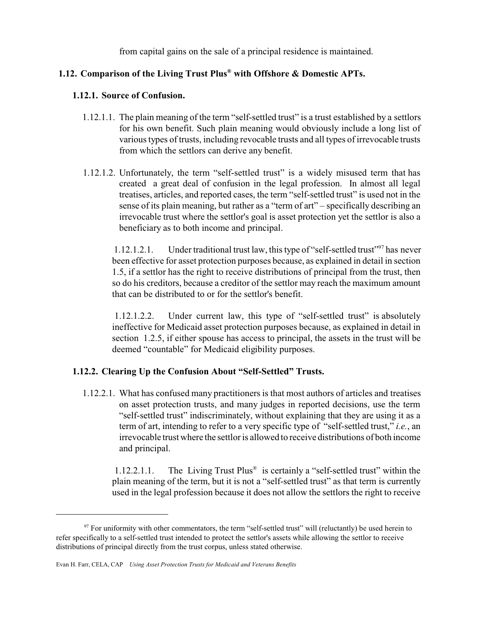from capital gains on the sale of a principal residence is maintained.

# **1.12. Comparison of the Living Trust Plus® with Offshore & Domestic APTs.**

#### **1.12.1. Source of Confusion.**

- 1.12.1.1. The plain meaning of the term "self-settled trust" is a trust established by a settlors for his own benefit. Such plain meaning would obviously include a long list of various types of trusts, including revocable trusts and all types of irrevocable trusts from which the settlors can derive any benefit.
- 1.12.1.2. Unfortunately, the term "self-settled trust" is a widely misused term that has created a great deal of confusion in the legal profession. In almost all legal treatises, articles, and reported cases, the term "self-settled trust" is used not in the sense of its plain meaning, but rather as a "term of art" – specifically describing an irrevocable trust where the settlor's goal is asset protection yet the settlor is also a beneficiary as to both income and principal.

1.12.1.2.1. Under traditional trust law, this type of "self-settled trust"<sup>97</sup> has never been effective for asset protection purposes because, as explained in detail in section 1.5, if a settlor has the right to receive distributions of principal from the trust, then so do his creditors, because a creditor of the settlor may reach the maximum amount that can be distributed to or for the settlor's benefit.

 1.12.1.2.2. Under current law, this type of "self-settled trust" is absolutely ineffective for Medicaid asset protection purposes because, as explained in detail in section 1.2.5, if either spouse has access to principal, the assets in the trust will be deemed "countable" for Medicaid eligibility purposes.

# **1.12.2. Clearing Up the Confusion About "Self-Settled" Trusts.**

1.12.2.1. What has confused many practitioners is that most authors of articles and treatises on asset protection trusts, and many judges in reported decisions, use the term "self-settled trust" indiscriminately, without explaining that they are using it as a term of art, intending to refer to a very specific type of "self-settled trust," *i.e.*, an irrevocable trust where the settlor is allowed to receive distributions of both income and principal.

 1.12.2.1.1. The Living Trust Plus® is certainly a "self-settled trust" within the plain meaning of the term, but it is not a "self-settled trust" as that term is currently used in the legal profession because it does not allow the settlors the right to receive

 $97$  For uniformity with other commentators, the term "self-settled trust" will (reluctantly) be used herein to refer specifically to a self-settled trust intended to protect the settlor's assets while allowing the settlor to receive distributions of principal directly from the trust corpus, unless stated otherwise.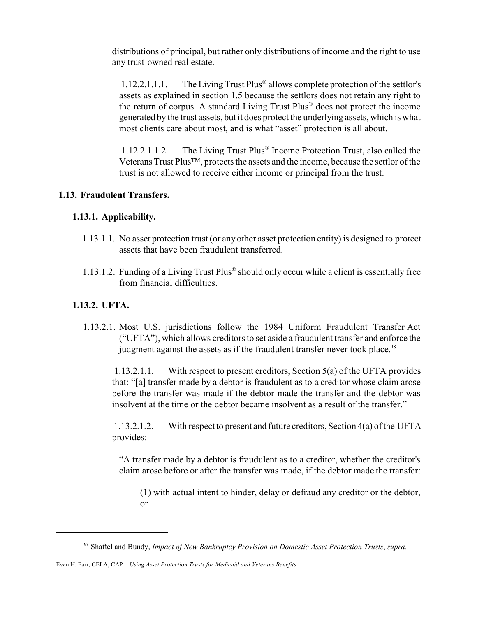distributions of principal, but rather only distributions of income and the right to use any trust-owned real estate.

1.12.2.1.1.1. The Living Trust Plus® allows complete protection of the settlor's assets as explained in section 1.5 because the settlors does not retain any right to the return of corpus. A standard Living Trust Plus® does not protect the income generated by the trust assets, but it does protect the underlying assets, which is what most clients care about most, and is what "asset" protection is all about.

 1.12.2.1.1.2. The Living Trust Plus® Income Protection Trust, also called the Veterans Trust Plus™, protects the assets and the income, because the settlor of the trust is not allowed to receive either income or principal from the trust.

# **1.13. Fraudulent Transfers.**

# **1.13.1. Applicability.**

- 1.13.1.1. No asset protection trust (or any other asset protection entity) is designed to protect assets that have been fraudulent transferred.
- 1.13.1.2. Funding of a Living Trust Plus® should only occur while a client is essentially free from financial difficulties.

# **1.13.2. UFTA.**

 1.13.2.1. Most U.S. jurisdictions follow the 1984 Uniform Fraudulent Transfer Act ("UFTA"), which allows creditors to set aside a fraudulent transfer and enforce the judgment against the assets as if the fraudulent transfer never took place.<sup>98</sup>

1.13.2.1.1. With respect to present creditors, Section 5(a) of the UFTA provides that: "[a] transfer made by a debtor is fraudulent as to a creditor whose claim arose before the transfer was made if the debtor made the transfer and the debtor was insolvent at the time or the debtor became insolvent as a result of the transfer."

1.13.2.1.2. With respect to present and future creditors, Section 4(a) of the UFTA provides:

"A transfer made by a debtor is fraudulent as to a creditor, whether the creditor's claim arose before or after the transfer was made, if the debtor made the transfer:

 (1) with actual intent to hinder, delay or defraud any creditor or the debtor, or

<sup>98</sup> Shaftel and Bundy, *Impact of New Bankruptcy Provision on Domestic Asset Protection Trusts*, *supra*.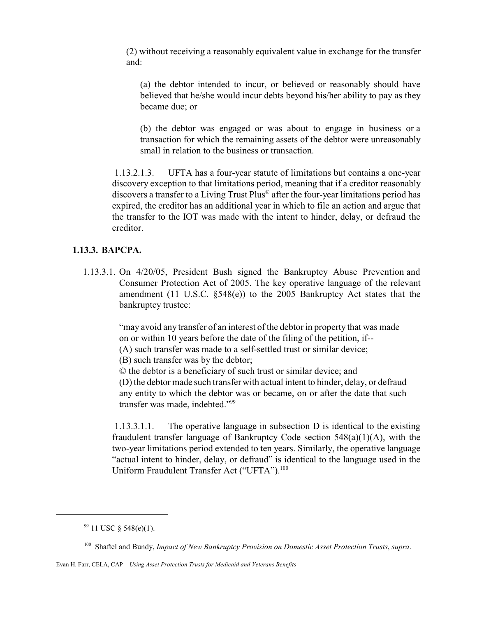(2) without receiving a reasonably equivalent value in exchange for the transfer and:

(a) the debtor intended to incur, or believed or reasonably should have believed that he/she would incur debts beyond his/her ability to pay as they became due; or

(b) the debtor was engaged or was about to engage in business or a transaction for which the remaining assets of the debtor were unreasonably small in relation to the business or transaction.

 1.13.2.1.3. UFTA has a four-year statute of limitations but contains a one-year discovery exception to that limitations period, meaning that if a creditor reasonably discovers a transfer to a Living Trust Plus® after the four-year limitations period has expired, the creditor has an additional year in which to file an action and argue that the transfer to the IOT was made with the intent to hinder, delay, or defraud the creditor.

#### **1.13.3. BAPCPA.**

 1.13.3.1. On 4/20/05, President Bush signed the Bankruptcy Abuse Prevention and Consumer Protection Act of 2005. The key operative language of the relevant amendment (11 U.S.C. §548(e)) to the 2005 Bankruptcy Act states that the bankruptcy trustee:

> "may avoid any transfer of an interest of the debtor in property that was made on or within 10 years before the date of the filing of the petition, if--

(A) such transfer was made to a self-settled trust or similar device;

(B) such transfer was by the debtor;

© the debtor is a beneficiary of such trust or similar device; and

(D) the debtor made such transfer with actual intent to hinder, delay, or defraud any entity to which the debtor was or became, on or after the date that such transfer was made, indebted."<sup>99</sup>

 1.13.3.1.1. The operative language in subsection D is identical to the existing fraudulent transfer language of Bankruptcy Code section 548(a)(1)(A), with the two-year limitations period extended to ten years. Similarly, the operative language "actual intent to hinder, delay, or defraud" is identical to the language used in the Uniform Fraudulent Transfer Act ("UFTA").<sup>100</sup>

 $99$  11 USC § 548(e)(1).

<sup>100</sup> Shaftel and Bundy, *Impact of New Bankruptcy Provision on Domestic Asset Protection Trusts*, *supra*.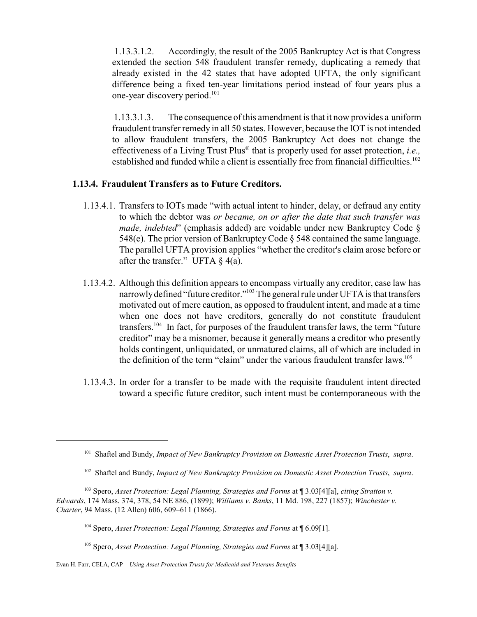1.13.3.1.2. Accordingly, the result of the 2005 Bankruptcy Act is that Congress extended the section 548 fraudulent transfer remedy, duplicating a remedy that already existed in the 42 states that have adopted UFTA, the only significant difference being a fixed ten-year limitations period instead of four years plus a one-year discovery period.<sup>101</sup>

1.13.3.1.3. The consequence of this amendment is that it now provides a uniform fraudulent transfer remedy in all 50 states. However, because the IOT is not intended to allow fraudulent transfers, the 2005 Bankruptcy Act does not change the effectiveness of a Living Trust Plus® that is properly used for asset protection, *i.e.,* established and funded while a client is essentially free from financial difficulties.<sup>102</sup>

#### **1.13.4. Fraudulent Transfers as to Future Creditors.**

- 1.13.4.1. Transfers to IOTs made "with actual intent to hinder, delay, or defraud any entity to which the debtor was *or became, on or after the date that such transfer was made, indebted*" (emphasis added) are voidable under new Bankruptcy Code § 548(e). The prior version of Bankruptcy Code  $\S$  548 contained the same language. The parallel UFTA provision applies "whether the creditor's claim arose before or after the transfer." UFTA  $\S$  4(a).
- 1.13.4.2. Although this definition appears to encompass virtually any creditor, case law has narrowly defined "future creditor."<sup>103</sup> The general rule under UFTA is that transfers motivated out of mere caution, as opposed to fraudulent intent, and made at a time when one does not have creditors, generally do not constitute fraudulent transfers.<sup>104</sup> In fact, for purposes of the fraudulent transfer laws, the term "future creditor" may be a misnomer, because it generally means a creditor who presently holds contingent, unliquidated, or unmatured claims, all of which are included in the definition of the term "claim" under the various fraudulent transfer laws.<sup>105</sup>
- 1.13.4.3. In order for a transfer to be made with the requisite fraudulent intent directed toward a specific future creditor, such intent must be contemporaneous with the

<sup>105</sup> Spero, *Asset Protection: Legal Planning, Strategies and Forms* at ¶ 3.03[4][a].

<sup>101</sup> Shaftel and Bundy, *Impact of New Bankruptcy Provision on Domestic Asset Protection Trusts*, *supra*.

<sup>102</sup> Shaftel and Bundy, *Impact of New Bankruptcy Provision on Domestic Asset Protection Trusts*, *supra*.

<sup>103</sup> Spero, *Asset Protection: Legal Planning, Strategies and Forms* at ¶ 3.03[4][a], *citing Stratton v. Edwards*, 174 Mass. 374, 378, 54 NE 886, (1899); *Williams v. Banks*, 11 Md. 198, 227 (1857); *Winchester v. Charter*, 94 Mass. (12 Allen) 606, 609–611 (1866).

<sup>104</sup> Spero, *Asset Protection: Legal Planning, Strategies and Forms* at ¶ 6.09[1].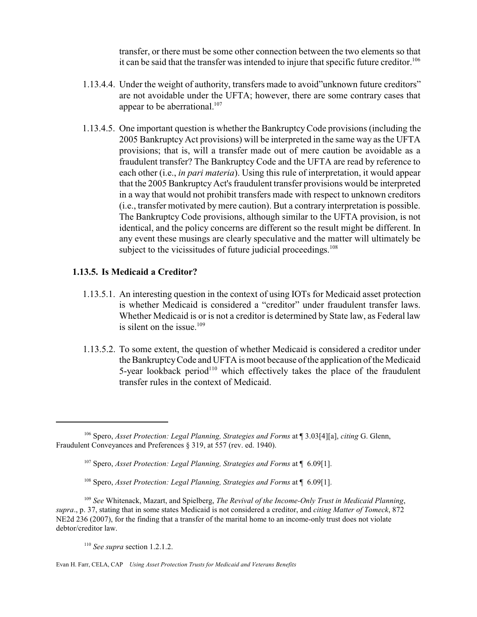transfer, or there must be some other connection between the two elements so that it can be said that the transfer was intended to injure that specific future creditor.<sup>106</sup>

- 1.13.4.4. Under the weight of authority, transfers made to avoid"unknown future creditors" are not avoidable under the UFTA; however, there are some contrary cases that appear to be aberrational. $107$
- 1.13.4.5. One important question is whether the BankruptcyCode provisions (including the 2005 Bankruptcy Act provisions) will be interpreted in the same way as the UFTA provisions; that is, will a transfer made out of mere caution be avoidable as a fraudulent transfer? The Bankruptcy Code and the UFTA are read by reference to each other (i.e., *in pari materia*). Using this rule of interpretation, it would appear that the 2005 Bankruptcy Act's fraudulent transfer provisions would be interpreted in a way that would not prohibit transfers made with respect to unknown creditors (i.e., transfer motivated by mere caution). But a contrary interpretation is possible. The Bankruptcy Code provisions, although similar to the UFTA provision, is not identical, and the policy concerns are different so the result might be different. In any event these musings are clearly speculative and the matter will ultimately be subject to the vicissitudes of future judicial proceedings.<sup>108</sup>

#### **1.13.5. Is Medicaid a Creditor?**

- 1.13.5.1. An interesting question in the context of using IOTs for Medicaid asset protection is whether Medicaid is considered a "creditor" under fraudulent transfer laws. Whether Medicaid is or is not a creditor is determined by State law, as Federal law is silent on the issue. $109$
- 1.13.5.2. To some extent, the question of whether Medicaid is considered a creditor under the BankruptcyCode and UFTA is moot because of the application of the Medicaid 5-year lookback period<sup>110</sup> which effectively takes the place of the fraudulent transfer rules in the context of Medicaid.

Evan H. Farr, CELA, CAP *Using Asset Protection Trusts for Medicaid and Veterans Benefits*

<sup>106</sup> Spero, *Asset Protection: Legal Planning, Strategies and Forms* at ¶ 3.03[4][a], *citing* G. Glenn, Fraudulent Conveyances and Preferences § 319, at 557 (rev. ed. 1940).

<sup>107</sup> Spero, *Asset Protection: Legal Planning, Strategies and Forms* at ¶ 6.09[1].

<sup>108</sup> Spero, *Asset Protection: Legal Planning, Strategies and Forms* at ¶ 6.09[1].

<sup>109</sup> *See* Whitenack, Mazart, and Spielberg, *The Revival of the Income-Only Trust in Medicaid Planning*, *supra*., p. 37, stating that in some states Medicaid is not considered a creditor, and *citing Matter of Tomeck*, 872 NE2d 236 (2007), for the finding that a transfer of the marital home to an income-only trust does not violate debtor/creditor law.

<sup>110</sup> *See supra* section 1.2.1.2.